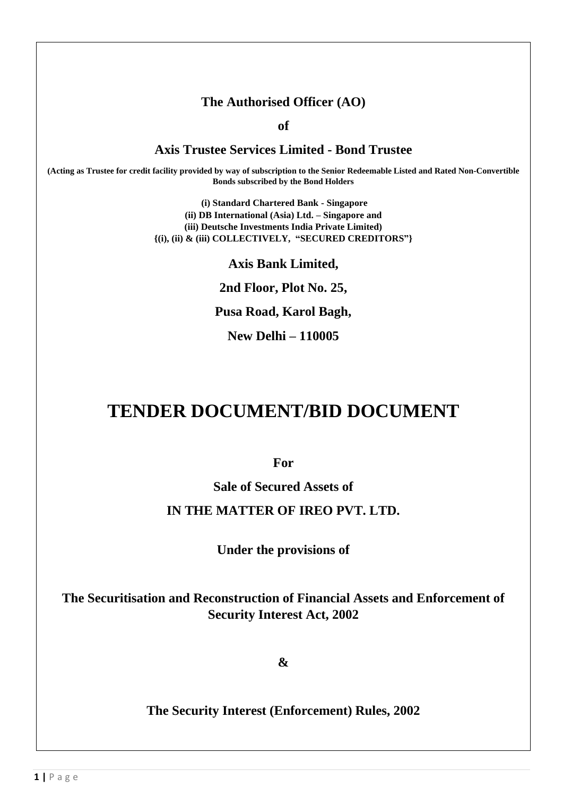### **The Authorised Officer (AO)**

**of**

#### **Axis Trustee Services Limited - Bond Trustee**

**(Acting as Trustee for credit facility provided by way of subscription to the Senior Redeemable Listed and Rated Non-Convertible Bonds subscribed by the Bond Holders**

> **(i) Standard Chartered Bank - Singapore (ii) DB International (Asia) Ltd. – Singapore and (iii) Deutsche Investments India Private Limited) {(i), (ii) & (iii) COLLECTIVELY, "SECURED CREDITORS"}**

#### **Axis Bank Limited,**

**2nd Floor, Plot No. 25,** 

**Pusa Road, Karol Bagh,** 

**New Delhi – 110005**

# **TENDER DOCUMENT/BID DOCUMENT**

**For**

**Sale of Secured Assets of**

#### **IN THE MATTER OF IREO PVT. LTD.**

**Under the provisions of**

**The Securitisation and Reconstruction of Financial Assets and Enforcement of Security Interest Act, 2002**

**&**

**The Security Interest (Enforcement) Rules, 2002**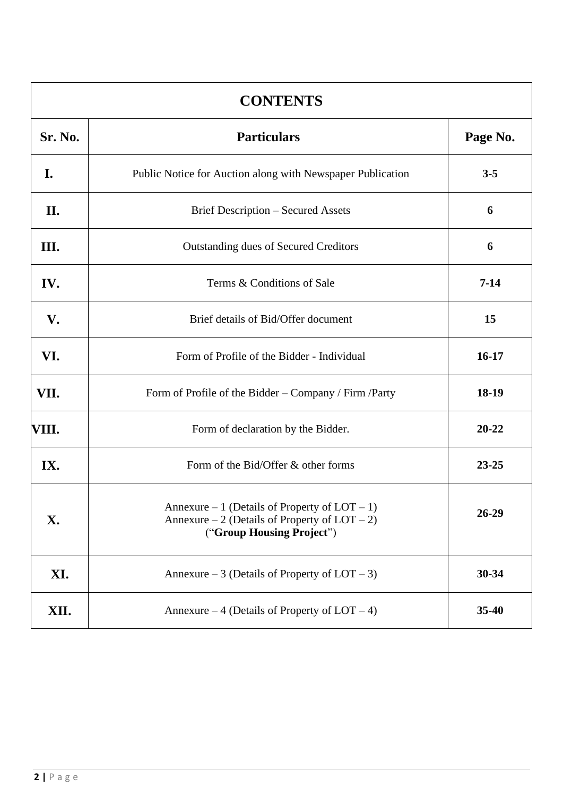| <b>CONTENTS</b> |                                                                                                                                   |           |  |  |
|-----------------|-----------------------------------------------------------------------------------------------------------------------------------|-----------|--|--|
| Sr. No.         | <b>Particulars</b>                                                                                                                | Page No.  |  |  |
| I.              | Public Notice for Auction along with Newspaper Publication                                                                        | $3 - 5$   |  |  |
| II.             | <b>Brief Description - Secured Assets</b>                                                                                         | 6         |  |  |
| Ш.              | <b>Outstanding dues of Secured Creditors</b>                                                                                      | 6         |  |  |
| IV.             | Terms & Conditions of Sale                                                                                                        | $7 - 14$  |  |  |
| V.              | Brief details of Bid/Offer document                                                                                               | 15        |  |  |
| VI.             | Form of Profile of the Bidder - Individual                                                                                        | $16-17$   |  |  |
| VII.            | Form of Profile of the Bidder – Company / Firm / Party                                                                            | 18-19     |  |  |
| VIII.           | Form of declaration by the Bidder.                                                                                                | $20 - 22$ |  |  |
| IX.             | Form of the Bid/Offer & other forms                                                                                               | $23 - 25$ |  |  |
| X.              | Annexure – 1 (Details of Property of $LOT - 1$ )<br>Annexure $-2$ (Details of Property of LOT $-2$ )<br>("Group Housing Project") | $26-29$   |  |  |
| XI.             | Annexure – 3 (Details of Property of $LOT - 3$ )                                                                                  | $30 - 34$ |  |  |
| XII.            | Annexure – 4 (Details of Property of $LOT - 4$ )                                                                                  | $35 - 40$ |  |  |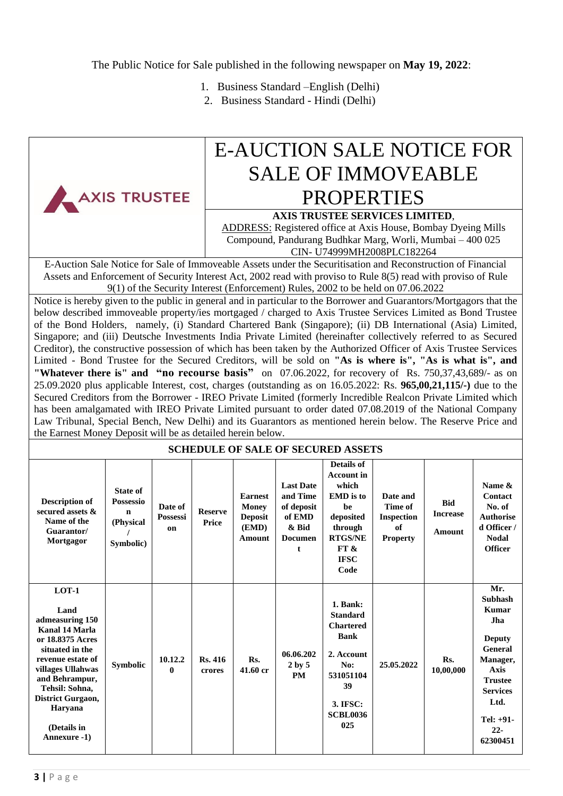The Public Notice for Sale published in the following newspaper on **May 19, 2022**:

- 1. Business Standard –English (Delhi)
- 2. Business Standard Hindi (Delhi)

|                                                                                                                                                                                                                                                                                                                                                                                                                                                                                                                                                                                                                                                                                                                                                                                                                                                                                                                                                                                                                                                                                                                                                                                                                                                                                                                                                                                                                                                                                                                                                                                                                                                                                                                                                                                                                                                                                                                          |                                                                              |                           |                         |                                                                     |                                                                                      |                                                                                                                                                    | <b>E-AUCTION SALE NOTICE FOR</b>                                  |                                         |                                                                                                                                                                                     |
|--------------------------------------------------------------------------------------------------------------------------------------------------------------------------------------------------------------------------------------------------------------------------------------------------------------------------------------------------------------------------------------------------------------------------------------------------------------------------------------------------------------------------------------------------------------------------------------------------------------------------------------------------------------------------------------------------------------------------------------------------------------------------------------------------------------------------------------------------------------------------------------------------------------------------------------------------------------------------------------------------------------------------------------------------------------------------------------------------------------------------------------------------------------------------------------------------------------------------------------------------------------------------------------------------------------------------------------------------------------------------------------------------------------------------------------------------------------------------------------------------------------------------------------------------------------------------------------------------------------------------------------------------------------------------------------------------------------------------------------------------------------------------------------------------------------------------------------------------------------------------------------------------------------------------|------------------------------------------------------------------------------|---------------------------|-------------------------|---------------------------------------------------------------------|--------------------------------------------------------------------------------------|----------------------------------------------------------------------------------------------------------------------------------------------------|-------------------------------------------------------------------|-----------------------------------------|-------------------------------------------------------------------------------------------------------------------------------------------------------------------------------------|
|                                                                                                                                                                                                                                                                                                                                                                                                                                                                                                                                                                                                                                                                                                                                                                                                                                                                                                                                                                                                                                                                                                                                                                                                                                                                                                                                                                                                                                                                                                                                                                                                                                                                                                                                                                                                                                                                                                                          |                                                                              |                           |                         | <b>SALE OF IMMOVEABLE</b>                                           |                                                                                      |                                                                                                                                                    |                                                                   |                                         |                                                                                                                                                                                     |
|                                                                                                                                                                                                                                                                                                                                                                                                                                                                                                                                                                                                                                                                                                                                                                                                                                                                                                                                                                                                                                                                                                                                                                                                                                                                                                                                                                                                                                                                                                                                                                                                                                                                                                                                                                                                                                                                                                                          |                                                                              |                           |                         |                                                                     |                                                                                      |                                                                                                                                                    |                                                                   |                                         |                                                                                                                                                                                     |
| <b>PROPERTIES</b><br>AXIS TRUSTEE<br><b>AXIS TRUSTEE SERVICES LIMITED,</b><br><b>ADDRESS:</b> Registered office at Axis House, Bombay Dyeing Mills<br>Compound, Pandurang Budhkar Marg, Worli, Mumbai - 400 025<br>CIN- U74999MH2008PLC182264<br>E-Auction Sale Notice for Sale of Immoveable Assets under the Securitisation and Reconstruction of Financial<br>Assets and Enforcement of Security Interest Act, 2002 read with proviso to Rule 8(5) read with proviso of Rule<br>9(1) of the Security Interest (Enforcement) Rules, 2002 to be held on 07.06.2022<br>Notice is hereby given to the public in general and in particular to the Borrower and Guarantors/Mortgagors that the<br>below described immoveable property/ies mortgaged / charged to Axis Trustee Services Limited as Bond Trustee<br>of the Bond Holders, namely, (i) Standard Chartered Bank (Singapore); (ii) DB International (Asia) Limited,<br>Singapore; and (iii) Deutsche Investments India Private Limited (hereinafter collectively referred to as Secured<br>Creditor), the constructive possession of which has been taken by the Authorized Officer of Axis Trustee Services<br>Limited - Bond Trustee for the Secured Creditors, will be sold on "As is where is", "As is what is", and<br>"Whatever there is" and "no recourse basis" on 07.06.2022, for recovery of Rs. 750,37,43,689/- as on<br>25.09.2020 plus applicable Interest, cost, charges (outstanding as on 16.05.2022: Rs. 965,00,21,115/-) due to the<br>Secured Creditors from the Borrower - IREO Private Limited (formerly Incredible Realcon Private Limited which<br>has been amalgamated with IREO Private Limited pursuant to order dated 07.08.2019 of the National Company<br>Law Tribunal, Special Bench, New Delhi) and its Guarantors as mentioned herein below. The Reserve Price and<br>the Earnest Money Deposit will be as detailed herein below. |                                                                              |                           |                         |                                                                     |                                                                                      |                                                                                                                                                    |                                                                   |                                         |                                                                                                                                                                                     |
|                                                                                                                                                                                                                                                                                                                                                                                                                                                                                                                                                                                                                                                                                                                                                                                                                                                                                                                                                                                                                                                                                                                                                                                                                                                                                                                                                                                                                                                                                                                                                                                                                                                                                                                                                                                                                                                                                                                          |                                                                              |                           |                         |                                                                     |                                                                                      | <b>SCHEDULE OF SALE OF SECURED ASSETS</b>                                                                                                          |                                                                   |                                         |                                                                                                                                                                                     |
| <b>Description of</b><br>secured assets &<br>Name of the<br>Guarantor/<br>Mortgagor                                                                                                                                                                                                                                                                                                                                                                                                                                                                                                                                                                                                                                                                                                                                                                                                                                                                                                                                                                                                                                                                                                                                                                                                                                                                                                                                                                                                                                                                                                                                                                                                                                                                                                                                                                                                                                      | <b>State of</b><br><b>Possessio</b><br>$\mathbf n$<br>(Physical<br>Symbolic) | Date of<br>Possessi<br>on | <b>Reserve</b><br>Price | <b>Earnest</b><br><b>Money</b><br><b>Deposit</b><br>(EMD)<br>Amount | <b>Last Date</b><br>and Time<br>of deposit<br>of EMD<br>& Bid<br><b>Documen</b><br>t | <b>Details of</b><br><b>Account in</b><br>which<br><b>EMD</b> is to<br>be<br>deposited<br>through<br><b>RTGS/NE</b><br>FT &<br><b>IFSC</b><br>Code | Date and<br>Time of<br><b>Inspection</b><br>of<br><b>Property</b> | <b>Bid</b><br><b>Increase</b><br>Amount | Name &<br>Contact<br>No. of<br><b>Authorise</b><br>d Officer /<br><b>Nodal</b><br><b>Officer</b>                                                                                    |
| $LOT-1$<br>Land<br>admeasuring 150<br><b>Kanal 14 Marla</b><br>or 18.8375 Acres<br>situated in the<br>revenue estate of<br>villages Ullahwas<br>and Behrampur,<br>Tehsil: Sohna,<br>District Gurgaon,<br>Haryana<br>(Details in<br>Annexure -1)                                                                                                                                                                                                                                                                                                                                                                                                                                                                                                                                                                                                                                                                                                                                                                                                                                                                                                                                                                                                                                                                                                                                                                                                                                                                                                                                                                                                                                                                                                                                                                                                                                                                          | <b>Symbolic</b>                                                              | 10.12.2<br>$\bf{0}$       | Rs. 416<br>crores       | Rs.<br>41.60 cr                                                     | 06.06.202<br>2 by 5<br><b>PM</b>                                                     | 1. Bank:<br><b>Standard</b><br><b>Chartered</b><br><b>Bank</b><br>2. Account<br>No:<br>531051104<br>39<br>3. IFSC:<br><b>SCBL0036</b><br>025       | 25.05.2022                                                        | Rs.<br>10,00,000                        | Mr.<br><b>Subhash</b><br><b>Kumar</b><br>Jha<br><b>Deputy</b><br>General<br>Manager,<br><b>Axis</b><br><b>Trustee</b><br><b>Services</b><br>Ltd.<br>Tel: +91-<br>$22 -$<br>62300451 |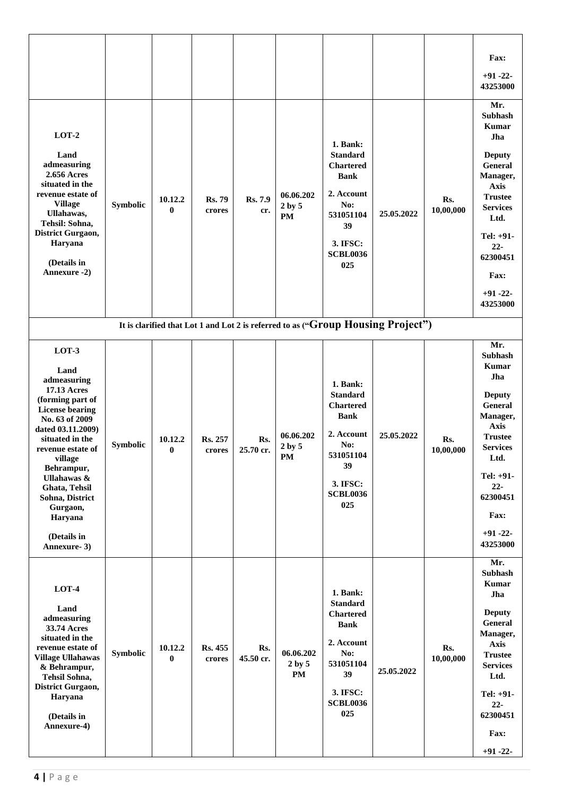|                                                                                                                                                                                                                                                                                                                   |          |                         |                         |                  |                                      |                                                                                                                                              |                                                                                  |                  | Fax:                                                                                                                                                                                                                      |
|-------------------------------------------------------------------------------------------------------------------------------------------------------------------------------------------------------------------------------------------------------------------------------------------------------------------|----------|-------------------------|-------------------------|------------------|--------------------------------------|----------------------------------------------------------------------------------------------------------------------------------------------|----------------------------------------------------------------------------------|------------------|---------------------------------------------------------------------------------------------------------------------------------------------------------------------------------------------------------------------------|
|                                                                                                                                                                                                                                                                                                                   |          |                         |                         |                  |                                      |                                                                                                                                              |                                                                                  |                  | $+91 - 22$<br>43253000                                                                                                                                                                                                    |
| $LOT-2$<br>Land<br>admeasuring<br>2.656 Acres<br>situated in the<br>revenue estate of<br><b>Village</b><br>Ullahawas,<br>Tehsil: Sohna,<br>District Gurgaon,<br>Haryana<br>(Details in<br>Annexure -2)                                                                                                            | Symbolic | 10.12.2<br>$\mathbf{0}$ | <b>Rs. 79</b><br>crores | Rs. 7.9<br>cr.   | 06.06.202<br>2 by 5<br><b>PM</b>     | 1. Bank:<br><b>Standard</b><br><b>Chartered</b><br><b>Bank</b><br>2. Account<br>No:<br>531051104<br>39<br>3. IFSC:<br><b>SCBL0036</b><br>025 | 25.05.2022                                                                       | Rs.<br>10,00,000 | Mr.<br>Subhash<br><b>Kumar</b><br>Jha<br><b>Deputy</b><br>General<br>Manager,<br><b>Axis</b><br><b>Trustee</b><br><b>Services</b><br>Ltd.<br>Tel: +91-<br>$22 -$<br>62300451<br>Fax:<br>$+91 - 22$<br>43253000            |
|                                                                                                                                                                                                                                                                                                                   |          |                         |                         |                  |                                      |                                                                                                                                              | It is clarified that Lot 1 and Lot 2 is referred to as ("Group Housing Project") |                  |                                                                                                                                                                                                                           |
| LOT-3<br>Land<br>admeasuring<br><b>17.13 Acres</b><br>(forming part of<br><b>License bearing</b><br>No. 63 of 2009<br>dated 03.11.2009)<br>situated in the<br>revenue estate of<br>village<br>Behrampur,<br>Ullahawas &<br>Ghata, Tehsil<br>Sohna, District<br>Gurgaon,<br>Haryana<br>(Details in<br>Annexure- 3) | Symbolic | 10.12.2<br>$\bf{0}$     | Rs. 257<br>crores       | Rs.<br>25.70 cr. | 06.06.202<br>2 by 5<br>PM            | 1. Bank:<br><b>Standard</b><br><b>Chartered</b><br><b>Bank</b><br>2. Account<br>No:<br>531051104<br>39<br>3. IFSC:<br><b>SCBL0036</b><br>025 | 25.05.2022                                                                       | Rs.<br>10,00,000 | Mr.<br><b>Subhash</b><br><b>Kumar</b><br>Jha<br><b>Deputy</b><br>General<br>Manager,<br><b>Axis</b><br><b>Trustee</b><br><b>Services</b><br>Ltd.<br>Tel: $+91-$<br>$22 -$<br>62300451<br>Fax:<br>$+91 - 22 -$<br>43253000 |
| $LOT-4$<br>Land<br>admeasuring<br>33.74 Acres<br>situated in the<br>revenue estate of<br><b>Village Ullahawas</b><br>& Behrampur,<br>Tehsil Sohna,<br>District Gurgaon,<br>Haryana<br>(Details in<br>Annexure-4)                                                                                                  | Symbolic | 10.12.2<br>$\bf{0}$     | Rs. 455<br>crores       | Rs.<br>45.50 cr. | 06.06.202<br>2 by 5<br>$\mathbf{PM}$ | 1. Bank:<br><b>Standard</b><br><b>Chartered</b><br><b>Bank</b><br>2. Account<br>No:<br>531051104<br>39<br>3. IFSC:<br><b>SCBL0036</b><br>025 | 25.05.2022                                                                       | Rs.<br>10,00,000 | Mr.<br>Subhash<br>Kumar<br>Jha<br><b>Deputy</b><br>General<br>Manager,<br><b>Axis</b><br><b>Trustee</b><br><b>Services</b><br>Ltd.<br>Tel: +91-<br>$22 -$<br>62300451<br>Fax:<br>$+91 - 22$                               |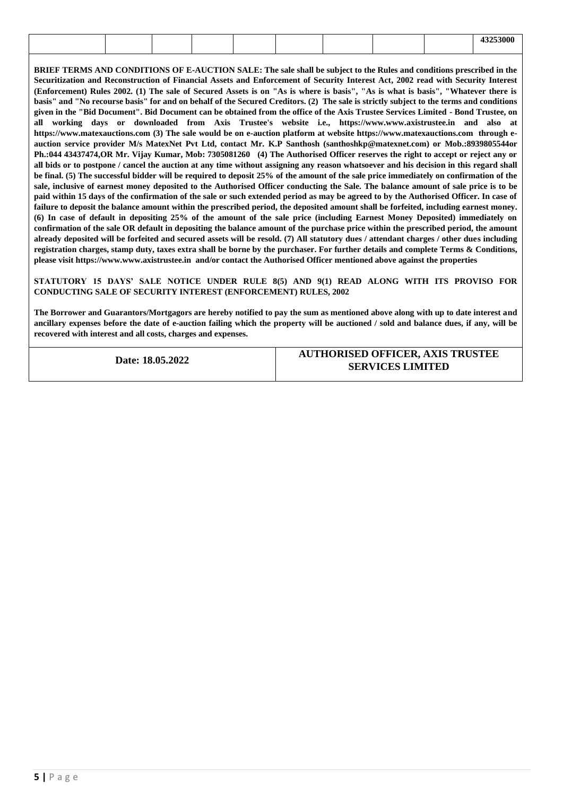| мн |
|----|

**BRIEF TERMS AND CONDITIONS OF E-AUCTION SALE: The sale shall be subject to the Rules and conditions prescribed in the Securitization and Reconstruction of Financial Assets and Enforcement of Security Interest Act, 2002 read with Security Interest (Enforcement) Rules 2002. (1) The sale of Secured Assets is on "As is where is basis", "As is what is basis", "Whatever there is basis" and "No recourse basis" for and on behalf of the Secured Creditors. (2) The sale is strictly subject to the terms and conditions given in the "Bid Document". Bid Document can be obtained from the office of the Axis Trustee Services Limited - Bond Trustee, on all working days or downloaded from Axis Trustee's website i.e., https://www.www.axistrustee.in and also at https://www.matexauctions.com (3) The sale would be on e-auction platform at website https://www.matexauctions.com through eauction service provider M/s MatexNet Pvt Ltd, contact Mr. K.P Santhosh (santhoshkp@matexnet.com) or Mob.:8939805544or Ph.:044 43437474,OR Mr. Vijay Kumar, Mob: 7305081260 (4) The Authorised Officer reserves the right to accept or reject any or all bids or to postpone / cancel the auction at any time without assigning any reason whatsoever and his decision in this regard shall be final. (5) The successful bidder will be required to deposit 25% of the amount of the sale price immediately on confirmation of the sale, inclusive of earnest money deposited to the Authorised Officer conducting the Sale. The balance amount of sale price is to be paid within 15 days of the confirmation of the sale or such extended period as may be agreed to by the Authorised Officer. In case of failure to deposit the balance amount within the prescribed period, the deposited amount shall be forfeited, including earnest money. (6) In case of default in depositing 25% of the amount of the sale price (including Earnest Money Deposited) immediately on confirmation of the sale OR default in depositing the balance amount of the purchase price within the prescribed period, the amount already deposited will be forfeited and secured assets will be resold. (7) All statutory dues / attendant charges / other dues including registration charges, stamp duty, taxes extra shall be borne by the purchaser. For further details and complete Terms & Conditions, please visit https://www.www.axistrustee.in and/or contact the Authorised Officer mentioned above against the properties**

**STATUTORY 15 DAYS' SALE NOTICE UNDER RULE 8(5) AND 9(1) READ ALONG WITH ITS PROVISO FOR CONDUCTING SALE OF SECURITY INTEREST (ENFORCEMENT) RULES, 2002**

**The Borrower and Guarantors/Mortgagors are hereby notified to pay the sum as mentioned above along with up to date interest and ancillary expenses before the date of e-auction failing which the property will be auctioned / sold and balance dues, if any, will be recovered with interest and all costs, charges and expenses.**

**Date: 18.05.2022**

**AUTHORISED OFFICER, AXIS TRUSTEE SERVICES LIMITED**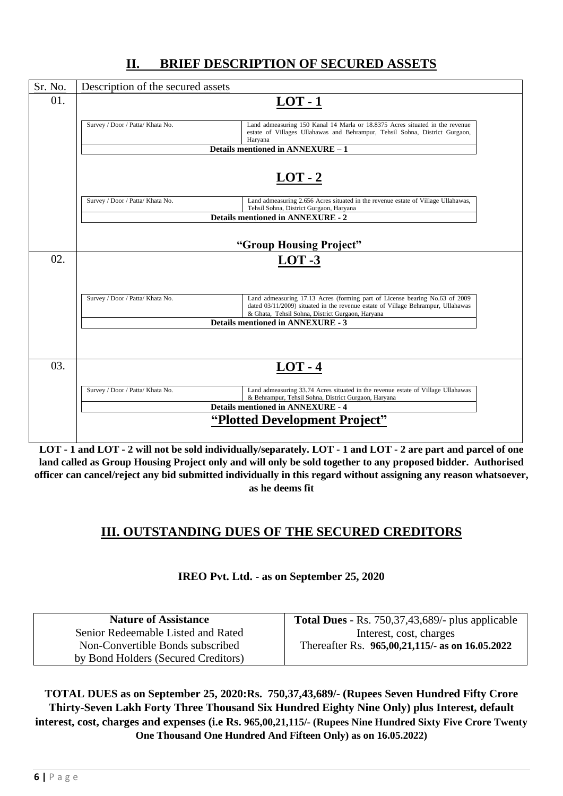| Sr. No. | Description of the secured assets                                                        |                                                                                                                                                                  |
|---------|------------------------------------------------------------------------------------------|------------------------------------------------------------------------------------------------------------------------------------------------------------------|
| 01.     | $LOT - 1$                                                                                |                                                                                                                                                                  |
|         | Survey / Door / Patta/ Khata No.<br>Haryana                                              | Land admeasuring 150 Kanal 14 Marla or 18.8375 Acres situated in the revenue<br>estate of Villages Ullahawas and Behrampur, Tehsil Sohna, District Gurgaon,      |
|         | Details mentioned in ANNEXURE - 1                                                        |                                                                                                                                                                  |
|         | $LOT - 2$                                                                                |                                                                                                                                                                  |
|         | Survey / Door / Patta/ Khata No.<br>Tehsil Sohna, District Gurgaon, Haryana              | Land admeasuring 2.656 Acres situated in the revenue estate of Village Ullahawas,                                                                                |
|         | <b>Details mentioned in ANNEXURE - 2</b>                                                 |                                                                                                                                                                  |
|         | "Group Housing Project"                                                                  |                                                                                                                                                                  |
| 02.     | $LOT -3$                                                                                 |                                                                                                                                                                  |
|         |                                                                                          |                                                                                                                                                                  |
|         | Survey / Door / Patta/ Khata No.<br>& Ghata, Tehsil Sohna, District Gurgaon, Haryana     | Land admeasuring 17.13 Acres (forming part of License bearing No.63 of 2009)<br>dated 03/11/2009) situated in the revenue estate of Village Behrampur, Ullahawas |
|         | <b>Details mentioned in ANNEXURE - 3</b>                                                 |                                                                                                                                                                  |
|         |                                                                                          |                                                                                                                                                                  |
| 03.     | $LOT - 4$                                                                                |                                                                                                                                                                  |
|         | Survey / Door / Patta/ Khata No.<br>& Behrampur, Tehsil Sohna, District Gurgaon, Haryana | Land admeasuring 33.74 Acres situated in the revenue estate of Village Ullahawas                                                                                 |
|         | <b>Details mentioned in ANNEXURE - 4</b>                                                 |                                                                                                                                                                  |
|         | "Plotted Development Project"                                                            |                                                                                                                                                                  |
|         |                                                                                          |                                                                                                                                                                  |

### **II. BRIEF DESCRIPTION OF SECURED ASSETS**

**LOT - 1 and LOT - 2 will not be sold individually/separately. LOT - 1 and LOT - 2 are part and parcel of one land called as Group Housing Project only and will only be sold together to any proposed bidder. Authorised officer can cancel/reject any bid submitted individually in this regard without assigning any reason whatsoever, as he deems fit**

### **III. OUTSTANDING DUES OF THE SECURED CREDITORS**

**IREO Pvt. Ltd. - as on September 25, 2020**

| <b>Nature of Assistance</b>         | <b>Total Dues</b> - Rs. $750,37,43,689/$ - plus applicable |
|-------------------------------------|------------------------------------------------------------|
| Senior Redeemable Listed and Rated  | Interest, cost, charges                                    |
| Non-Convertible Bonds subscribed    | Thereafter Rs. 965,00,21,115/- as on 16.05.2022            |
| by Bond Holders (Secured Creditors) |                                                            |

**TOTAL DUES as on September 25, 2020:Rs. 750,37,43,689/- (Rupees Seven Hundred Fifty Crore Thirty-Seven Lakh Forty Three Thousand Six Hundred Eighty Nine Only) plus Interest, default interest, cost, charges and expenses (i.e Rs. 965,00,21,115/- (Rupees Nine Hundred Sixty Five Crore Twenty One Thousand One Hundred And Fifteen Only) as on 16.05.2022)**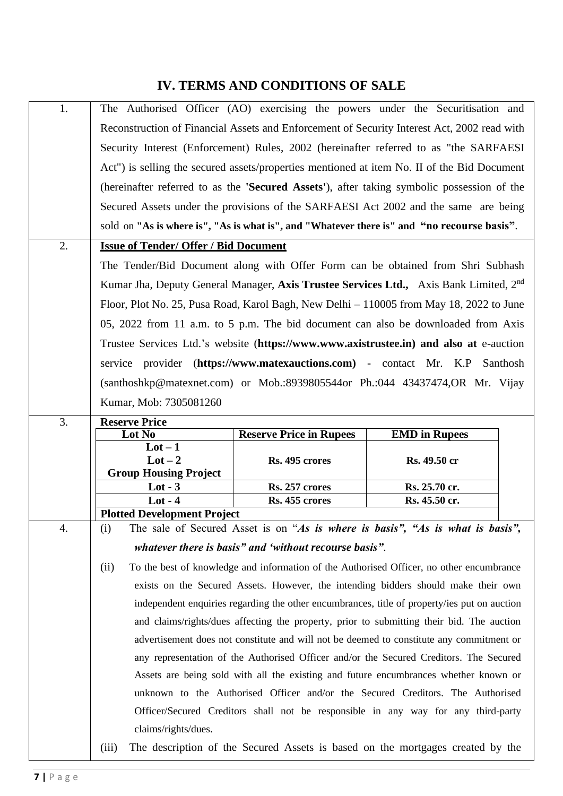### **IV. TERMS AND CONDITIONS OF SALE**

| 1. | The Authorised Officer (AO) exercising the powers under the Securitisation and              |                                                        |                                                                                                   |  |  |  |  |  |  |
|----|---------------------------------------------------------------------------------------------|--------------------------------------------------------|---------------------------------------------------------------------------------------------------|--|--|--|--|--|--|
|    | Reconstruction of Financial Assets and Enforcement of Security Interest Act, 2002 read with |                                                        |                                                                                                   |  |  |  |  |  |  |
|    | Security Interest (Enforcement) Rules, 2002 (hereinafter referred to as "the SARFAESI       |                                                        |                                                                                                   |  |  |  |  |  |  |
|    | Act") is selling the secured assets/properties mentioned at item No. II of the Bid Document |                                                        |                                                                                                   |  |  |  |  |  |  |
|    |                                                                                             |                                                        |                                                                                                   |  |  |  |  |  |  |
|    | (hereinafter referred to as the 'Secured Assets'), after taking symbolic possession of the  |                                                        |                                                                                                   |  |  |  |  |  |  |
|    | Secured Assets under the provisions of the SARFAESI Act 2002 and the same are being         |                                                        |                                                                                                   |  |  |  |  |  |  |
|    | sold on "As is where is", "As is what is", and "Whatever there is" and "no recourse basis". |                                                        |                                                                                                   |  |  |  |  |  |  |
| 2. | <b>Issue of Tender/ Offer / Bid Document</b>                                                |                                                        |                                                                                                   |  |  |  |  |  |  |
|    |                                                                                             |                                                        | The Tender/Bid Document along with Offer Form can be obtained from Shri Subhash                   |  |  |  |  |  |  |
|    |                                                                                             |                                                        | Kumar Jha, Deputy General Manager, Axis Trustee Services Ltd., Axis Bank Limited, 2 <sup>nd</sup> |  |  |  |  |  |  |
|    |                                                                                             |                                                        | Floor, Plot No. 25, Pusa Road, Karol Bagh, New Delhi – 110005 from May 18, 2022 to June           |  |  |  |  |  |  |
|    |                                                                                             |                                                        | 05, 2022 from 11 a.m. to 5 p.m. The bid document can also be downloaded from Axis                 |  |  |  |  |  |  |
|    |                                                                                             |                                                        | Trustee Services Ltd.'s website (https://www.www.axistrustee.in) and also at e-auction            |  |  |  |  |  |  |
|    |                                                                                             |                                                        |                                                                                                   |  |  |  |  |  |  |
|    | service provider (https://www.matexauctions.com) - contact Mr. K.P                          |                                                        | Santhosh                                                                                          |  |  |  |  |  |  |
|    | $(santhoshkp@matexact.com)$ or Mob.:8939805544or Ph.:044 43437474,OR Mr. Vijay              |                                                        |                                                                                                   |  |  |  |  |  |  |
|    | Kumar, Mob: 7305081260                                                                      |                                                        |                                                                                                   |  |  |  |  |  |  |
| 3. | <b>Reserve Price</b>                                                                        |                                                        |                                                                                                   |  |  |  |  |  |  |
|    | Lot No<br>$Lot - 1$                                                                         | <b>Reserve Price in Rupees</b>                         | <b>EMD</b> in Rupees                                                                              |  |  |  |  |  |  |
|    | $Lot - 2$                                                                                   | Rs. 495 crores                                         | Rs. 49.50 cr                                                                                      |  |  |  |  |  |  |
|    | <b>Group Housing Project</b>                                                                |                                                        |                                                                                                   |  |  |  |  |  |  |
|    | $Lot - 3$                                                                                   | Rs. 257 crores                                         | Rs. 25.70 cr.                                                                                     |  |  |  |  |  |  |
|    | $Lot - 4$                                                                                   | Rs. 455 crores                                         | Rs. 45.50 cr.                                                                                     |  |  |  |  |  |  |
|    | <b>Plotted Development Project</b>                                                          |                                                        |                                                                                                   |  |  |  |  |  |  |
| 4. | (i)                                                                                         |                                                        | The sale of Secured Asset is on "As is where is basis", "As is what is basis",                    |  |  |  |  |  |  |
|    |                                                                                             | whatever there is basis" and 'without recourse basis". |                                                                                                   |  |  |  |  |  |  |
|    | (ii)                                                                                        |                                                        | To the best of knowledge and information of the Authorised Officer, no other encumbrance          |  |  |  |  |  |  |
|    |                                                                                             |                                                        | exists on the Secured Assets. However, the intending bidders should make their own                |  |  |  |  |  |  |
|    |                                                                                             |                                                        | independent enquiries regarding the other encumbrances, title of property/ies put on auction      |  |  |  |  |  |  |
|    |                                                                                             |                                                        | and claims/rights/dues affecting the property, prior to submitting their bid. The auction         |  |  |  |  |  |  |
|    |                                                                                             |                                                        | advertisement does not constitute and will not be deemed to constitute any commitment or          |  |  |  |  |  |  |
|    |                                                                                             |                                                        |                                                                                                   |  |  |  |  |  |  |
|    | any representation of the Authorised Officer and/or the Secured Creditors. The Secured      |                                                        |                                                                                                   |  |  |  |  |  |  |
|    |                                                                                             |                                                        | Assets are being sold with all the existing and future encumbrances whether known or              |  |  |  |  |  |  |
|    |                                                                                             |                                                        | unknown to the Authorised Officer and/or the Secured Creditors. The Authorised                    |  |  |  |  |  |  |
|    |                                                                                             |                                                        | Officer/Secured Creditors shall not be responsible in any way for any third-party                 |  |  |  |  |  |  |
|    | claims/rights/dues.                                                                         |                                                        |                                                                                                   |  |  |  |  |  |  |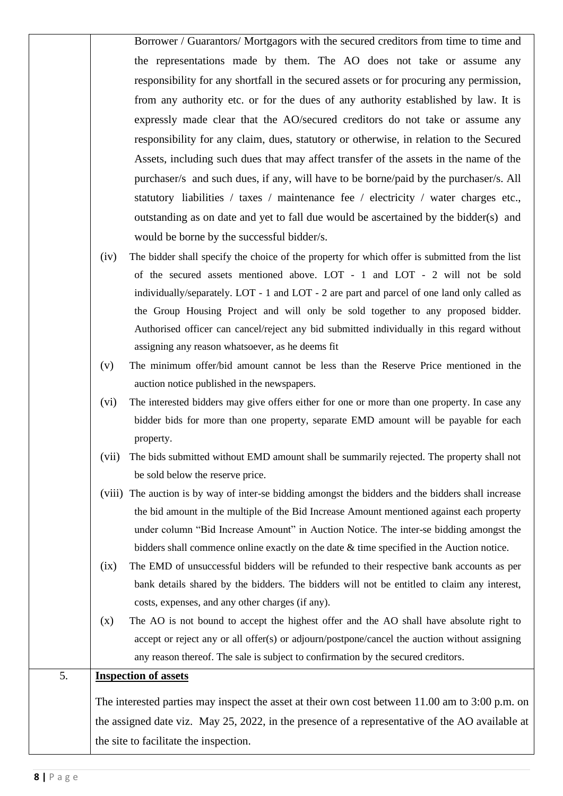Borrower / Guarantors/ Mortgagors with the secured creditors from time to time and the representations made by them. The AO does not take or assume any responsibility for any shortfall in the secured assets or for procuring any permission, from any authority etc. or for the dues of any authority established by law. It is expressly made clear that the AO/secured creditors do not take or assume any responsibility for any claim, dues, statutory or otherwise, in relation to the Secured Assets, including such dues that may affect transfer of the assets in the name of the purchaser/s and such dues, if any, will have to be borne/paid by the purchaser/s. All statutory liabilities / taxes / maintenance fee / electricity / water charges etc., outstanding as on date and yet to fall due would be ascertained by the bidder(s) and would be borne by the successful bidder/s.

- (iv) The bidder shall specify the choice of the property for which offer is submitted from the list of the secured assets mentioned above. LOT - 1 and LOT - 2 will not be sold individually/separately. LOT - 1 and LOT - 2 are part and parcel of one land only called as the Group Housing Project and will only be sold together to any proposed bidder. Authorised officer can cancel/reject any bid submitted individually in this regard without assigning any reason whatsoever, as he deems fit
- (v) The minimum offer/bid amount cannot be less than the Reserve Price mentioned in the auction notice published in the newspapers.
- (vi) The interested bidders may give offers either for one or more than one property. In case any bidder bids for more than one property, separate EMD amount will be payable for each property.
- (vii) The bids submitted without EMD amount shall be summarily rejected. The property shall not be sold below the reserve price.
- (viii) The auction is by way of inter-se bidding amongst the bidders and the bidders shall increase the bid amount in the multiple of the Bid Increase Amount mentioned against each property under column "Bid Increase Amount" in Auction Notice. The inter-se bidding amongst the bidders shall commence online exactly on the date & time specified in the Auction notice.
- (ix) The EMD of unsuccessful bidders will be refunded to their respective bank accounts as per bank details shared by the bidders. The bidders will not be entitled to claim any interest, costs, expenses, and any other charges (if any).
- (x) The AO is not bound to accept the highest offer and the AO shall have absolute right to accept or reject any or all offer(s) or adjourn/postpone/cancel the auction without assigning any reason thereof. The sale is subject to confirmation by the secured creditors.

#### 5. **Inspection of assets**

The interested parties may inspect the asset at their own cost between 11.00 am to 3:00 p.m. on the assigned date viz. May 25, 2022, in the presence of a representative of the AO available at the site to facilitate the inspection.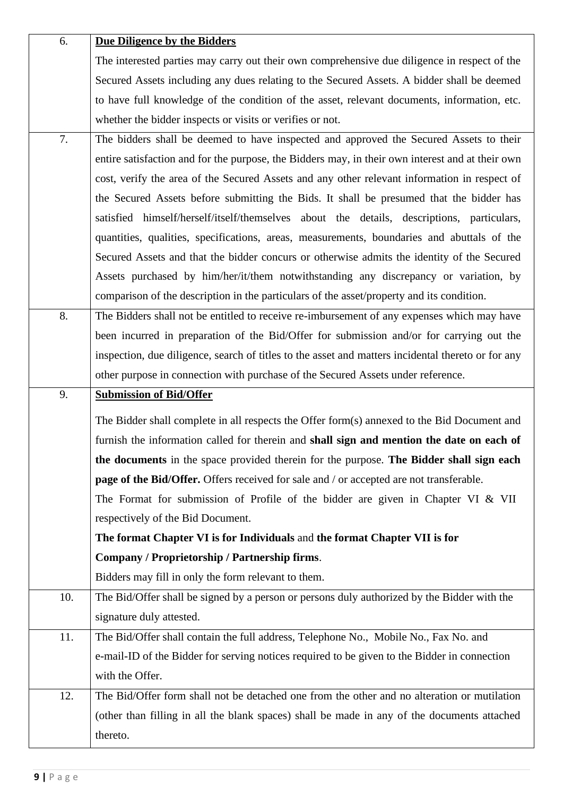| 6.  | <b>Due Diligence by the Bidders</b>                                                                |
|-----|----------------------------------------------------------------------------------------------------|
|     | The interested parties may carry out their own comprehensive due diligence in respect of the       |
|     | Secured Assets including any dues relating to the Secured Assets. A bidder shall be deemed         |
|     | to have full knowledge of the condition of the asset, relevant documents, information, etc.        |
|     | whether the bidder inspects or visits or verifies or not.                                          |
| 7.  | The bidders shall be deemed to have inspected and approved the Secured Assets to their             |
|     | entire satisfaction and for the purpose, the Bidders may, in their own interest and at their own   |
|     | cost, verify the area of the Secured Assets and any other relevant information in respect of       |
|     | the Secured Assets before submitting the Bids. It shall be presumed that the bidder has            |
|     | satisfied himself/herself/itself/themselves about the details, descriptions, particulars,          |
|     | quantities, qualities, specifications, areas, measurements, boundaries and abuttals of the         |
|     | Secured Assets and that the bidder concurs or otherwise admits the identity of the Secured         |
|     | Assets purchased by him/her/it/them notwithstanding any discrepancy or variation, by               |
|     | comparison of the description in the particulars of the asset/property and its condition.          |
| 8.  | The Bidders shall not be entitled to receive re-imbursement of any expenses which may have         |
|     | been incurred in preparation of the Bid/Offer for submission and/or for carrying out the           |
|     | inspection, due diligence, search of titles to the asset and matters incidental thereto or for any |
|     | other purpose in connection with purchase of the Secured Assets under reference.                   |
|     |                                                                                                    |
| 9.  | <b>Submission of Bid/Offer</b>                                                                     |
|     | The Bidder shall complete in all respects the Offer form(s) annexed to the Bid Document and        |
|     | furnish the information called for therein and shall sign and mention the date on each of          |
|     | the documents in the space provided therein for the purpose. The Bidder shall sign each            |
|     | page of the Bid/Offer. Offers received for sale and / or accepted are not transferable.            |
|     | The Format for submission of Profile of the bidder are given in Chapter VI & VII                   |
|     | respectively of the Bid Document.                                                                  |
|     | The format Chapter VI is for Individuals and the format Chapter VII is for                         |
|     | Company / Proprietorship / Partnership firms.                                                      |
|     | Bidders may fill in only the form relevant to them.                                                |
| 10. | The Bid/Offer shall be signed by a person or persons duly authorized by the Bidder with the        |
|     | signature duly attested.                                                                           |
| 11. | The Bid/Offer shall contain the full address, Telephone No., Mobile No., Fax No. and               |
|     | e-mail-ID of the Bidder for serving notices required to be given to the Bidder in connection       |
|     | with the Offer.                                                                                    |
| 12. | The Bid/Offer form shall not be detached one from the other and no alteration or mutilation        |
|     | (other than filling in all the blank spaces) shall be made in any of the documents attached        |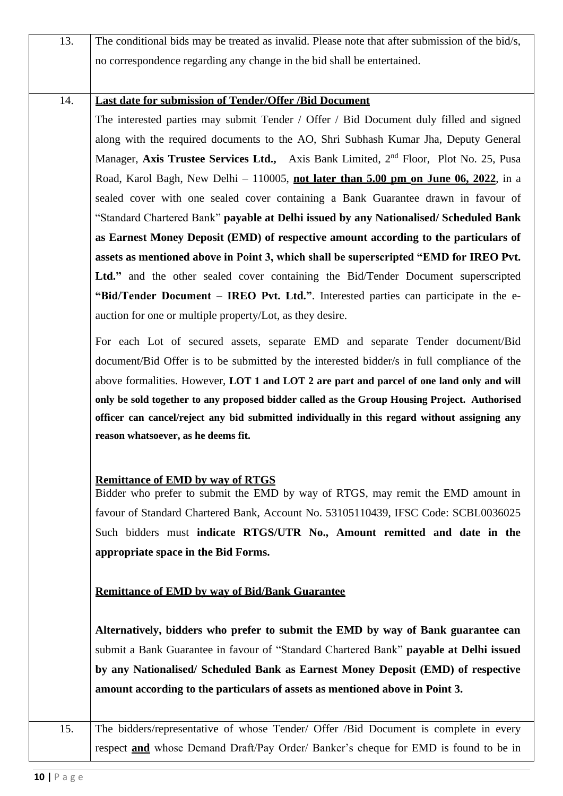| 13. | The conditional bids may be treated as invalid. Please note that after submission of the bid/s,  |
|-----|--------------------------------------------------------------------------------------------------|
|     | no correspondence regarding any change in the bid shall be entertained.                          |
|     |                                                                                                  |
| 14. | <b>Last date for submission of Tender/Offer /Bid Document</b>                                    |
|     | The interested parties may submit Tender / Offer / Bid Document duly filled and signed           |
|     | along with the required documents to the AO, Shri Subhash Kumar Jha, Deputy General              |
|     | Manager, Axis Trustee Services Ltd., Axis Bank Limited, 2 <sup>nd</sup> Floor, Plot No. 25, Pusa |
|     | Road, Karol Bagh, New Delhi - 110005, not later than 5.00 pm on June 06, 2022, in a              |
|     | sealed cover with one sealed cover containing a Bank Guarantee drawn in favour of                |
|     | "Standard Chartered Bank" payable at Delhi issued by any Nationalised/Scheduled Bank             |
|     | as Earnest Money Deposit (EMD) of respective amount according to the particulars of              |
|     | assets as mentioned above in Point 3, which shall be superscripted "EMD for IREO Pvt.            |
|     | Ltd." and the other sealed cover containing the Bid/Tender Document superscripted                |
|     | "Bid/Tender Document – IREO Pvt. Ltd.". Interested parties can participate in the e-             |
|     | auction for one or multiple property/Lot, as they desire.                                        |
|     | For each Lot of secured assets, separate EMD and separate Tender document/Bid                    |
|     | document/Bid Offer is to be submitted by the interested bidder/s in full compliance of the       |
|     | above formalities. However, LOT 1 and LOT 2 are part and parcel of one land only and will        |
|     | only be sold together to any proposed bidder called as the Group Housing Project. Authorised     |
|     | officer can cancel/reject any bid submitted individually in this regard without assigning any    |
|     | reason whatsoever, as he deems fit.                                                              |
|     |                                                                                                  |
|     | <b>Remittance of EMD by way of RTGS</b>                                                          |
|     | Bidder who prefer to submit the EMD by way of RTGS, may remit the EMD amount in                  |
|     | favour of Standard Chartered Bank, Account No. 53105110439, IFSC Code: SCBL0036025               |
|     | Such bidders must indicate RTGS/UTR No., Amount remitted and date in the                         |
|     | appropriate space in the Bid Forms.                                                              |
|     |                                                                                                  |
|     | <b>Remittance of EMD by way of Bid/Bank Guarantee</b>                                            |
|     | Alternatively, bidders who prefer to submit the EMD by way of Bank guarantee can                 |
|     | submit a Bank Guarantee in favour of "Standard Chartered Bank" payable at Delhi issued           |
|     | by any Nationalised/ Scheduled Bank as Earnest Money Deposit (EMD) of respective                 |
|     | amount according to the particulars of assets as mentioned above in Point 3.                     |
|     |                                                                                                  |
| 15. | The bidders/representative of whose Tender/ Offer /Bid Document is complete in every             |
|     | respect <b>and</b> whose Demand Draft/Pay Order/ Banker's cheque for EMD is found to be in       |
|     |                                                                                                  |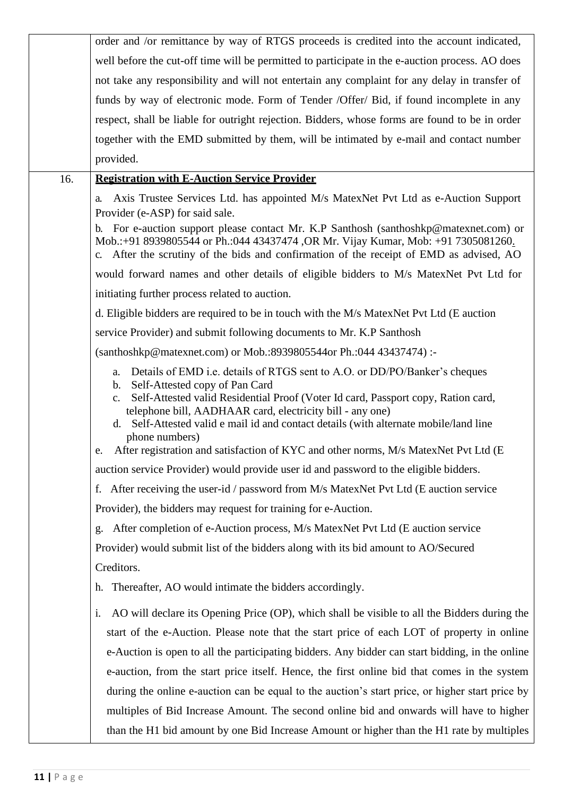|     | order and /or remittance by way of RTGS proceeds is credited into the account indicated,                                                                                                                                                                                  |
|-----|---------------------------------------------------------------------------------------------------------------------------------------------------------------------------------------------------------------------------------------------------------------------------|
|     | well before the cut-off time will be permitted to participate in the e-auction process. AO does                                                                                                                                                                           |
|     | not take any responsibility and will not entertain any complaint for any delay in transfer of                                                                                                                                                                             |
|     | funds by way of electronic mode. Form of Tender /Offer/ Bid, if found incomplete in any                                                                                                                                                                                   |
|     | respect, shall be liable for outright rejection. Bidders, whose forms are found to be in order                                                                                                                                                                            |
|     | together with the EMD submitted by them, will be intimated by e-mail and contact number                                                                                                                                                                                   |
|     | provided.                                                                                                                                                                                                                                                                 |
| 16. | <b>Registration with E-Auction Service Provider</b>                                                                                                                                                                                                                       |
|     | Axis Trustee Services Ltd. has appointed M/s MatexNet Pvt Ltd as e-Auction Support<br>a.<br>Provider (e-ASP) for said sale.                                                                                                                                               |
|     | b. For e-auction support please contact Mr. K.P Santhosh (santhoshkp@matexnet.com) or<br>Mob.:+91 8939805544 or Ph.:044 43437474 , OR Mr. Vijay Kumar, Mob: +91 7305081260.<br>After the scrutiny of the bids and confirmation of the receipt of EMD as advised, AO<br>C. |
|     | would forward names and other details of eligible bidders to M/s MatexNet Pvt Ltd for                                                                                                                                                                                     |
|     | initiating further process related to auction.                                                                                                                                                                                                                            |
|     | d. Eligible bidders are required to be in touch with the M/s MatexNet Pvt Ltd (E auction                                                                                                                                                                                  |
|     | service Provider) and submit following documents to Mr. K.P Santhosh                                                                                                                                                                                                      |
|     | (santhoshkp@matexnet.com) or Mob.:8939805544or Ph.:044 43437474) :-                                                                                                                                                                                                       |
|     | a. Details of EMD i.e. details of RTGS sent to A.O. or DD/PO/Banker's cheques<br>Self-Attested copy of Pan Card<br>b.<br>Self-Attested valid Residential Proof (Voter Id card, Passport copy, Ration card,<br>c.                                                          |
|     | telephone bill, AADHAAR card, electricity bill - any one)<br>d. Self-Attested valid e mail id and contact details (with alternate mobile/land line<br>phone numbers)                                                                                                      |
|     | After registration and satisfaction of KYC and other norms, M/s MatexNet Pvt Ltd (E)<br>e.                                                                                                                                                                                |
|     | auction service Provider) would provide user id and password to the eligible bidders.                                                                                                                                                                                     |
|     | After receiving the user-id / password from M/s MatexNet Pvt Ltd (E auction service<br>f.                                                                                                                                                                                 |
|     | Provider), the bidders may request for training for e-Auction.                                                                                                                                                                                                            |
|     | After completion of e-Auction process, M/s MatexNet Pvt Ltd (E auction service<br>g.                                                                                                                                                                                      |
|     | Provider) would submit list of the bidders along with its bid amount to AO/Secured                                                                                                                                                                                        |
|     | Creditors.                                                                                                                                                                                                                                                                |
|     | Thereafter, AO would intimate the bidders accordingly.<br>h.                                                                                                                                                                                                              |
|     | AO will declare its Opening Price (OP), which shall be visible to all the Bidders during the<br>i.                                                                                                                                                                        |
|     | start of the e-Auction. Please note that the start price of each LOT of property in online                                                                                                                                                                                |
|     | e-Auction is open to all the participating bidders. Any bidder can start bidding, in the online                                                                                                                                                                           |
|     | e-auction, from the start price itself. Hence, the first online bid that comes in the system                                                                                                                                                                              |
|     | during the online e-auction can be equal to the auction's start price, or higher start price by                                                                                                                                                                           |
|     | multiples of Bid Increase Amount. The second online bid and onwards will have to higher                                                                                                                                                                                   |
|     | than the H1 bid amount by one Bid Increase Amount or higher than the H1 rate by multiples                                                                                                                                                                                 |
|     |                                                                                                                                                                                                                                                                           |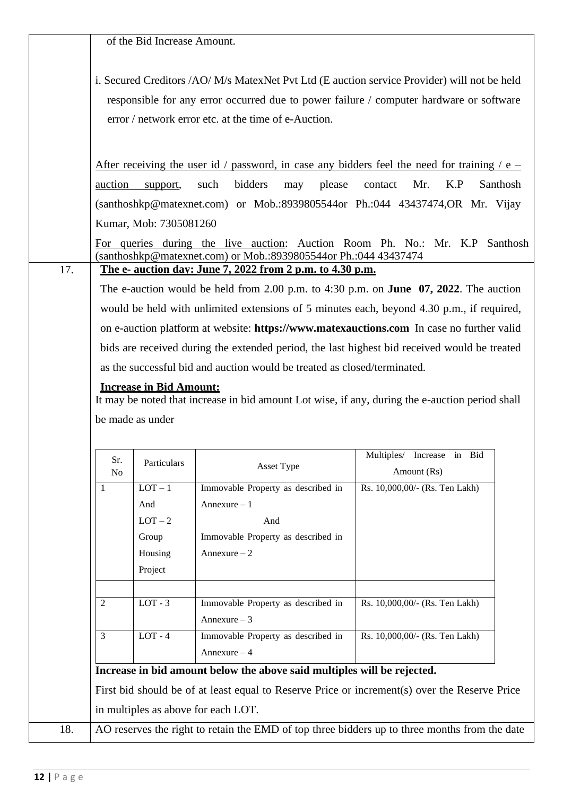|     |                       | of the Bid Increase Amount.    |                                                                          |                                                                                                                                                                                         |
|-----|-----------------------|--------------------------------|--------------------------------------------------------------------------|-----------------------------------------------------------------------------------------------------------------------------------------------------------------------------------------|
|     |                       |                                | error / network error etc. at the time of e-Auction.                     | i. Secured Creditors /AO/ M/s MatexNet Pvt Ltd (E auction service Provider) will not be held<br>responsible for any error occurred due to power failure / computer hardware or software |
|     |                       |                                |                                                                          | After receiving the user id / password, in case any bidders feel the need for training / $e$ –                                                                                          |
|     | auction               | support,                       | bidders<br>please<br>such<br>may                                         | K.P<br>Santhosh<br>contact<br>Mr.                                                                                                                                                       |
|     |                       |                                |                                                                          | (santhoshkp@matexnet.com) or Mob.:8939805544or Ph.:044 43437474,OR Mr. Vijay                                                                                                            |
|     |                       | Kumar, Mob: 7305081260         |                                                                          |                                                                                                                                                                                         |
|     |                       |                                | (santhoshkp@matexnet.com) or Mob.:8939805544or Ph.:044 43437474          | For queries during the live auction: Auction Room Ph. No.: Mr. K.P Santhosh                                                                                                             |
| 17. |                       |                                | <u>The e- auction day: June 7, 2022 from 2 p.m. to 4.30 p.m.</u>         |                                                                                                                                                                                         |
|     |                       |                                |                                                                          | The e-auction would be held from 2.00 p.m. to 4:30 p.m. on <b>June 07, 2022</b> . The auction                                                                                           |
|     |                       |                                |                                                                          | would be held with unlimited extensions of 5 minutes each, beyond 4.30 p.m., if required,                                                                                               |
|     |                       |                                |                                                                          | on e-auction platform at website: https://www.matexauctions.com In case no further valid                                                                                                |
|     |                       |                                |                                                                          | bids are received during the extended period, the last highest bid received would be treated                                                                                            |
|     |                       |                                | as the successful bid and auction would be treated as closed/terminated. |                                                                                                                                                                                         |
|     |                       | <b>Increase in Bid Amount:</b> |                                                                          |                                                                                                                                                                                         |
|     |                       |                                |                                                                          | It may be noted that increase in bid amount Lot wise, if any, during the e-auction period shall                                                                                         |
|     |                       | be made as under               |                                                                          |                                                                                                                                                                                         |
|     |                       |                                |                                                                          |                                                                                                                                                                                         |
|     | Sr.<br>N <sub>0</sub> | Particulars                    | Asset Type                                                               | Multiples/ Increase in Bid<br>Amount (Rs)                                                                                                                                               |
|     | 1                     | $LOT - 1$                      | Immovable Property as described in                                       | Rs. 10,000,00/- (Rs. Ten Lakh)                                                                                                                                                          |
|     |                       | And                            | Annexure $-1$                                                            |                                                                                                                                                                                         |
|     |                       | $LOT-2$                        | And                                                                      |                                                                                                                                                                                         |
|     |                       | Group                          | Immovable Property as described in                                       |                                                                                                                                                                                         |
|     |                       | Housing                        | Annexure $-2$                                                            |                                                                                                                                                                                         |
|     |                       | Project                        |                                                                          |                                                                                                                                                                                         |
|     | 2                     | $LOT - 3$                      | Immovable Property as described in<br>Annexure $-3$                      | Rs. 10,000,00/- (Rs. Ten Lakh)                                                                                                                                                          |
|     | 3                     | $LOT - 4$                      | Immovable Property as described in<br>Annexure $-4$                      | Rs. 10,000,00/- (Rs. Ten Lakh)                                                                                                                                                          |
|     |                       |                                | Increase in bid amount below the above said multiples will be rejected.  |                                                                                                                                                                                         |
|     |                       |                                |                                                                          | First bid should be of at least equal to Reserve Price or increment(s) over the Reserve Price                                                                                           |
|     |                       |                                | in multiples as above for each LOT.                                      |                                                                                                                                                                                         |
| 18. |                       |                                |                                                                          | AO reserves the right to retain the EMD of top three bidders up to three months from the date                                                                                           |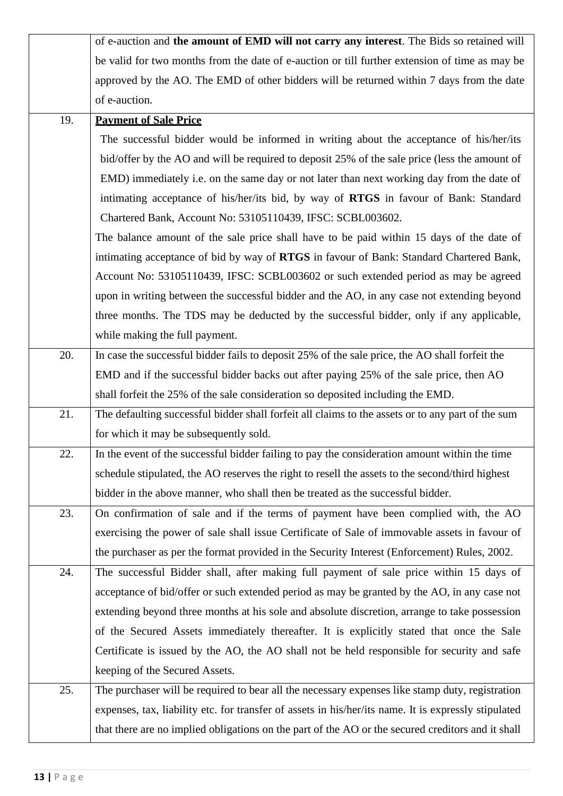|     | of e-auction and the amount of EMD will not carry any interest. The Bids so retained will            |
|-----|------------------------------------------------------------------------------------------------------|
|     | be valid for two months from the date of e-auction or till further extension of time as may be       |
|     | approved by the AO. The EMD of other bidders will be returned within 7 days from the date            |
|     | of e-auction.                                                                                        |
| 19. | <b>Payment of Sale Price</b>                                                                         |
|     | The successful bidder would be informed in writing about the acceptance of his/her/its               |
|     | bid/offer by the AO and will be required to deposit 25% of the sale price (less the amount of        |
|     | EMD) immediately i.e. on the same day or not later than next working day from the date of            |
|     | intimating acceptance of his/her/its bid, by way of RTGS in favour of Bank: Standard                 |
|     | Chartered Bank, Account No: 53105110439, IFSC: SCBL003602.                                           |
|     | The balance amount of the sale price shall have to be paid within 15 days of the date of             |
|     | intimating acceptance of bid by way of RTGS in favour of Bank: Standard Chartered Bank,              |
|     | Account No: 53105110439, IFSC: SCBL003602 or such extended period as may be agreed                   |
|     | upon in writing between the successful bidder and the AO, in any case not extending beyond           |
|     | three months. The TDS may be deducted by the successful bidder, only if any applicable,              |
|     | while making the full payment.                                                                       |
| 20. | In case the successful bidder fails to deposit 25% of the sale price, the AO shall forfeit the       |
|     | EMD and if the successful bidder backs out after paying 25% of the sale price, then AO               |
|     | shall forfeit the 25% of the sale consideration so deposited including the EMD.                      |
| 21. | The defaulting successful bidder shall forfeit all claims to the assets or to any part of the sum    |
|     | for which it may be subsequently sold.                                                               |
| 22. | In the event of the successful bidder failing to pay the consideration amount within the time        |
|     | schedule stipulated, the AO reserves the right to resell the assets to the second/third highest      |
|     | bidder in the above manner, who shall then be treated as the successful bidder.                      |
| 23. | On confirmation of sale and if the terms of payment have been complied with, the AO                  |
|     | exercising the power of sale shall issue Certificate of Sale of immovable assets in favour of        |
|     | the purchaser as per the format provided in the Security Interest (Enforcement) Rules, 2002.         |
| 24. | The successful Bidder shall, after making full payment of sale price within 15 days of               |
|     | acceptance of bid/offer or such extended period as may be granted by the AO, in any case not         |
|     | extending beyond three months at his sole and absolute discretion, arrange to take possession        |
|     | of the Secured Assets immediately thereafter. It is explicitly stated that once the Sale             |
|     | Certificate is issued by the AO, the AO shall not be held responsible for security and safe          |
|     | keeping of the Secured Assets.                                                                       |
| 25. | The purchaser will be required to bear all the necessary expenses like stamp duty, registration      |
|     | expenses, tax, liability etc. for transfer of assets in his/her/its name. It is expressly stipulated |
|     | that there are no implied obligations on the part of the AO or the secured creditors and it shall    |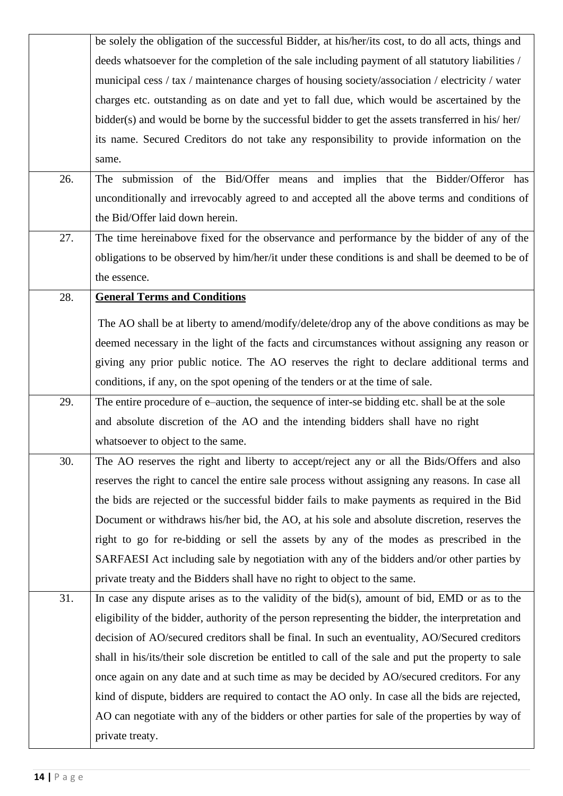|     | be solely the obligation of the successful Bidder, at his/her/its cost, to do all acts, things and  |
|-----|-----------------------------------------------------------------------------------------------------|
|     | deeds whatsoever for the completion of the sale including payment of all statutory liabilities /    |
|     | municipal cess / tax / maintenance charges of housing society/association / electricity / water     |
|     | charges etc. outstanding as on date and yet to fall due, which would be ascertained by the          |
|     | bidder(s) and would be borne by the successful bidder to get the assets transferred in his/her/     |
|     | its name. Secured Creditors do not take any responsibility to provide information on the            |
|     | same.                                                                                               |
| 26. | The submission of the Bid/Offer means and implies that the Bidder/Offeror has                       |
|     | unconditionally and irrevocably agreed to and accepted all the above terms and conditions of        |
|     | the Bid/Offer laid down herein.                                                                     |
| 27. | The time hereinabove fixed for the observance and performance by the bidder of any of the           |
|     | obligations to be observed by him/her/it under these conditions is and shall be deemed to be of     |
|     | the essence.                                                                                        |
| 28. | <b>General Terms and Conditions</b>                                                                 |
|     | The AO shall be at liberty to amend/modify/delete/drop any of the above conditions as may be        |
|     | deemed necessary in the light of the facts and circumstances without assigning any reason or        |
|     | giving any prior public notice. The AO reserves the right to declare additional terms and           |
|     | conditions, if any, on the spot opening of the tenders or at the time of sale.                      |
|     |                                                                                                     |
|     |                                                                                                     |
| 29. | The entire procedure of e-auction, the sequence of inter-se bidding etc. shall be at the sole       |
|     | and absolute discretion of the AO and the intending bidders shall have no right                     |
|     | whatsoever to object to the same.                                                                   |
| 30. | The AO reserves the right and liberty to accept/reject any or all the Bids/Offers and also          |
|     | reserves the right to cancel the entire sale process without assigning any reasons. In case all     |
|     | the bids are rejected or the successful bidder fails to make payments as required in the Bid        |
|     | Document or withdraws his/her bid, the AO, at his sole and absolute discretion, reserves the        |
|     | right to go for re-bidding or sell the assets by any of the modes as prescribed in the              |
|     | SARFAESI Act including sale by negotiation with any of the bidders and/or other parties by          |
|     | private treaty and the Bidders shall have no right to object to the same.                           |
| 31. | In case any dispute arises as to the validity of the bid $(s)$ , amount of bid, EMD or as to the    |
|     | eligibility of the bidder, authority of the person representing the bidder, the interpretation and  |
|     | decision of AO/secured creditors shall be final. In such an eventuality, AO/Secured creditors       |
|     | shall in his/its/their sole discretion be entitled to call of the sale and put the property to sale |
|     | once again on any date and at such time as may be decided by AO/secured creditors. For any          |
|     | kind of dispute, bidders are required to contact the AO only. In case all the bids are rejected,    |
|     | AO can negotiate with any of the bidders or other parties for sale of the properties by way of      |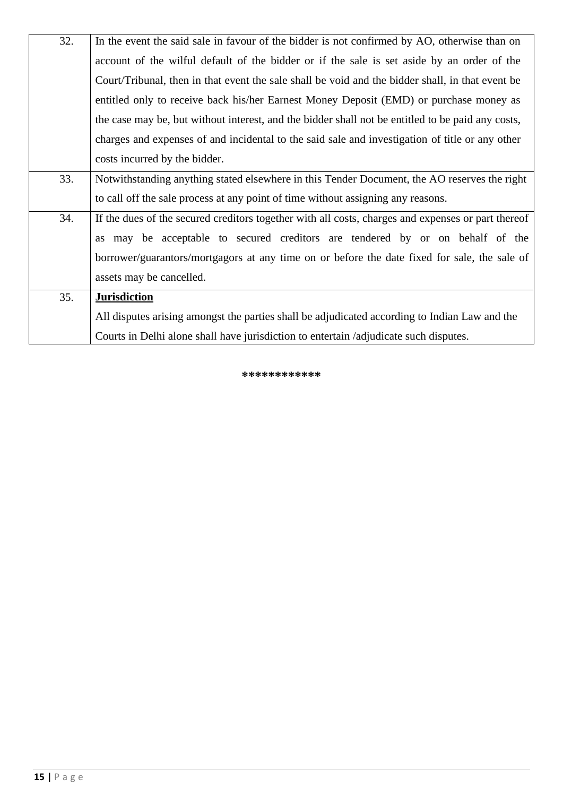| 32. | In the event the said sale in favour of the bidder is not confirmed by AO, otherwise than on       |
|-----|----------------------------------------------------------------------------------------------------|
|     | account of the wilful default of the bidder or if the sale is set aside by an order of the         |
|     | Court/Tribunal, then in that event the sale shall be void and the bidder shall, in that event be   |
|     | entitled only to receive back his/her Earnest Money Deposit (EMD) or purchase money as             |
|     | the case may be, but without interest, and the bidder shall not be entitled to be paid any costs,  |
|     | charges and expenses of and incidental to the said sale and investigation of title or any other    |
|     | costs incurred by the bidder.                                                                      |
| 33. | Notwithstanding anything stated elsewhere in this Tender Document, the AO reserves the right       |
|     | to call off the sale process at any point of time without assigning any reasons.                   |
| 34. | If the dues of the secured creditors together with all costs, charges and expenses or part thereof |
|     | as may be acceptable to secured creditors are tendered by or on behalf of the                      |
|     | borrower/guarantors/mortgagors at any time on or before the date fixed for sale, the sale of       |
|     | assets may be cancelled.                                                                           |
| 35. | <b>Jurisdiction</b>                                                                                |
|     | All disputes arising amongst the parties shall be adjudicated according to Indian Law and the      |
|     | Courts in Delhi alone shall have jurisdiction to entertain /adjudicate such disputes.              |

**\*\*\*\*\*\*\*\*\*\*\*\***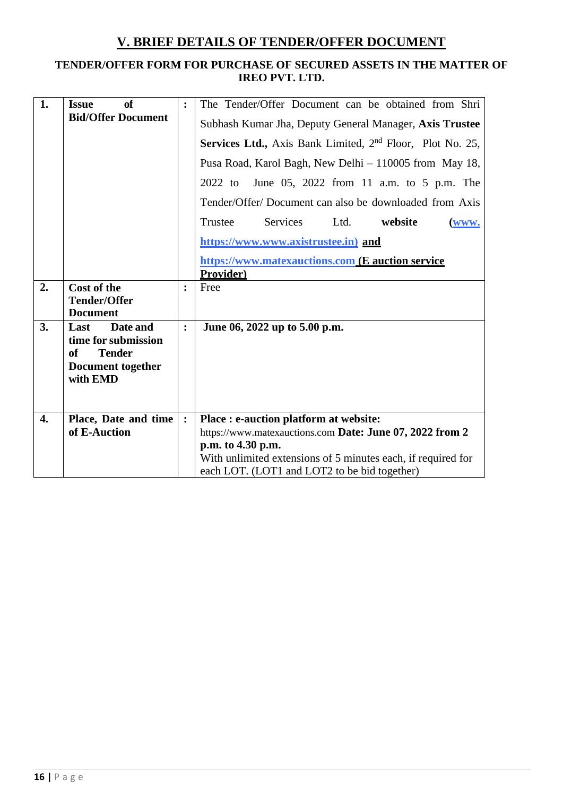### **V. BRIEF DETAILS OF TENDER/OFFER DOCUMENT**

### **TENDER/OFFER FORM FOR PURCHASE OF SECURED ASSETS IN THE MATTER OF IREO PVT. LTD.**

| 1.               | of<br><b>Issue</b><br><b>Bid/Offer Document</b>                                                               | $\ddot{\cdot}$ | The Tender/Offer Document can be obtained from Shri<br>Subhash Kumar Jha, Deputy General Manager, Axis Trustee<br>Services Ltd., Axis Bank Limited, 2 <sup>nd</sup> Floor, Plot No. 25,<br>Pusa Road, Karol Bagh, New Delhi - 110005 from May 18,<br>June 05, 2022 from 11 a.m. to 5 p.m. The<br>2022 to |
|------------------|---------------------------------------------------------------------------------------------------------------|----------------|----------------------------------------------------------------------------------------------------------------------------------------------------------------------------------------------------------------------------------------------------------------------------------------------------------|
|                  |                                                                                                               |                | Tender/Offer/Document can also be downloaded from Axis<br><b>Services</b><br>Trustee<br>Ltd.<br>website<br>(www.<br>https://www.www.axistrustee.in) and<br>https://www.matexauctions.com (E auction service<br>Provider)                                                                                 |
| 2.               | <b>Cost of the</b><br><b>Tender/Offer</b><br><b>Document</b>                                                  | $\ddot{\cdot}$ | Free                                                                                                                                                                                                                                                                                                     |
| 3.               | Date and<br>Last<br>time for submission<br><b>Tender</b><br><b>of</b><br><b>Document together</b><br>with EMD | $\ddot{\cdot}$ | June 06, 2022 up to 5.00 p.m.                                                                                                                                                                                                                                                                            |
| $\overline{4}$ . | Place, Date and time<br>of E-Auction                                                                          | :              | Place : e-auction platform at website:<br>https://www.matexauctions.com Date: June 07, 2022 from 2<br>p.m. to 4.30 p.m.<br>With unlimited extensions of 5 minutes each, if required for<br>each LOT. (LOT1 and LOT2 to be bid together)                                                                  |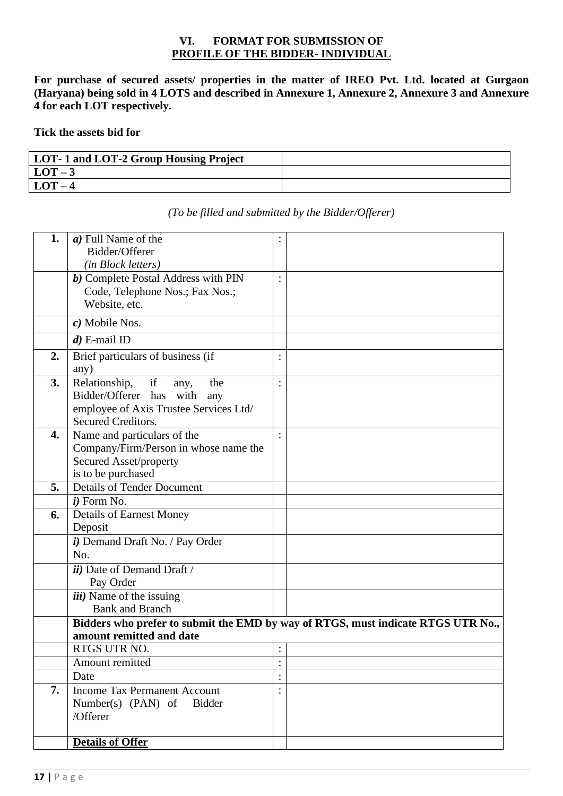#### **VI. FORMAT FOR SUBMISSION OF PROFILE OF THE BIDDER- INDIVIDUAL**

**For purchase of secured assets/ properties in the matter of IREO Pvt. Ltd. located at Gurgaon (Haryana) being sold in 4 LOTS and described in Annexure 1, Annexure 2, Annexure 3 and Annexure 4 for each LOT respectively.** 

**Tick the assets bid for**

| LOT-1 and LOT-2 Group Housing Project |  |
|---------------------------------------|--|
| $LOT-3$                               |  |
| $LOT-4$                               |  |

| 1. | a) Full Name of the                                             |                |                                                                                  |
|----|-----------------------------------------------------------------|----------------|----------------------------------------------------------------------------------|
|    | Bidder/Offerer                                                  |                |                                                                                  |
|    | (in Block letters)                                              |                |                                                                                  |
|    | <b>b</b> ) Complete Postal Address with PIN                     |                |                                                                                  |
|    | Code, Telephone Nos.; Fax Nos.;                                 |                |                                                                                  |
|    | Website, etc.                                                   |                |                                                                                  |
|    | c) Mobile Nos.                                                  |                |                                                                                  |
|    | $d$ ) E-mail ID                                                 |                |                                                                                  |
| 2. | Brief particulars of business (if                               |                |                                                                                  |
|    | any)                                                            |                |                                                                                  |
| 3. | if<br>Relationship,<br>the<br>any,                              |                |                                                                                  |
|    | Bidder/Offerer has with<br>any                                  |                |                                                                                  |
|    | employee of Axis Trustee Services Ltd/                          |                |                                                                                  |
| 4. | Secured Creditors.                                              |                |                                                                                  |
|    | Name and particulars of the                                     |                |                                                                                  |
|    | Company/Firm/Person in whose name the<br>Secured Asset/property |                |                                                                                  |
|    | is to be purchased                                              |                |                                                                                  |
| 5. | <b>Details of Tender Document</b>                               |                |                                                                                  |
|    | $i)$ Form No.                                                   |                |                                                                                  |
| 6. | <b>Details of Earnest Money</b>                                 |                |                                                                                  |
|    | Deposit                                                         |                |                                                                                  |
|    | i) Demand Draft No. / Pay Order                                 |                |                                                                                  |
|    | No.                                                             |                |                                                                                  |
|    | <i>ii</i> ) Date of Demand Draft /                              |                |                                                                                  |
|    | Pay Order                                                       |                |                                                                                  |
|    | <i>iii</i> ) Name of the issuing                                |                |                                                                                  |
|    | <b>Bank and Branch</b>                                          |                |                                                                                  |
|    |                                                                 |                | Bidders who prefer to submit the EMD by way of RTGS, must indicate RTGS UTR No., |
|    | amount remitted and date                                        |                |                                                                                  |
|    | RTGS UTR NO.                                                    | $\ddot{\cdot}$ |                                                                                  |
|    | Amount remitted                                                 | $\bullet$      |                                                                                  |
|    | Date                                                            |                |                                                                                  |
| 7. | <b>Income Tax Permanent Account</b>                             |                |                                                                                  |
|    | Number(s) $(PAN)$ of<br><b>Bidder</b>                           |                |                                                                                  |
|    | /Offerer                                                        |                |                                                                                  |
|    | <b>Details of Offer</b>                                         |                |                                                                                  |
|    |                                                                 |                |                                                                                  |

#### *(To be filled and submitted by the Bidder/Offerer)*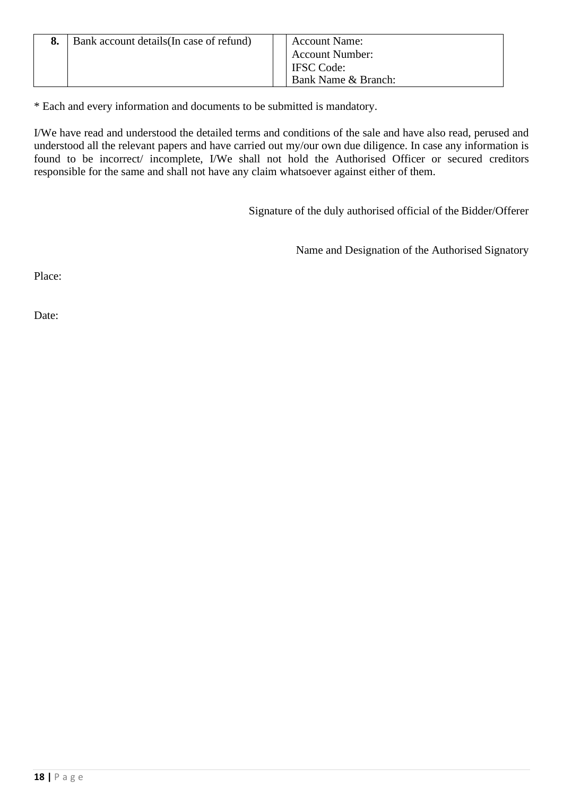| Bank account details (In case of refund) | <b>Account Name:</b>   |
|------------------------------------------|------------------------|
|                                          | <b>Account Number:</b> |
|                                          | <b>IFSC</b> Code:      |
|                                          | Bank Name & Branch:    |

\* Each and every information and documents to be submitted is mandatory.

I/We have read and understood the detailed terms and conditions of the sale and have also read, perused and understood all the relevant papers and have carried out my/our own due diligence. In case any information is found to be incorrect/ incomplete, I/We shall not hold the Authorised Officer or secured creditors responsible for the same and shall not have any claim whatsoever against either of them.

Signature of the duly authorised official of the Bidder/Offerer

Name and Designation of the Authorised Signatory

Place:

Date: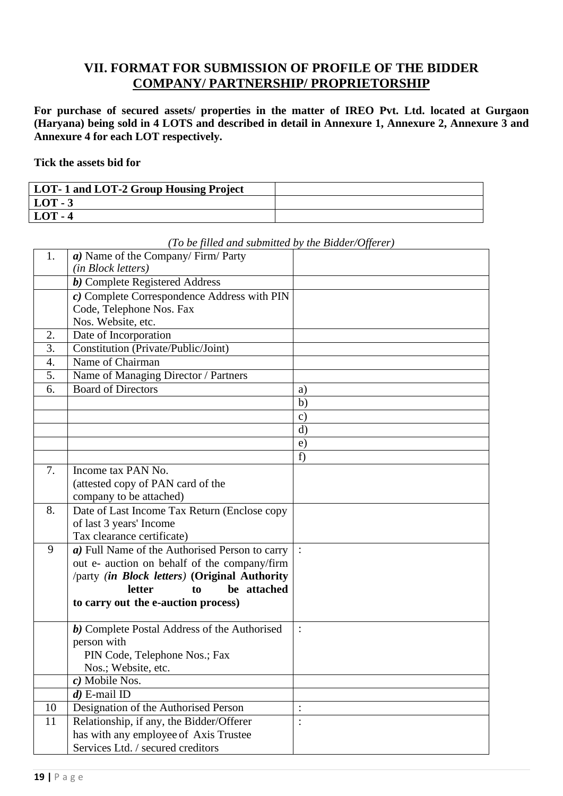### **VII. FORMAT FOR SUBMISSION OF PROFILE OF THE BIDDER COMPANY/ PARTNERSHIP/ PROPRIETORSHIP**

**For purchase of secured assets/ properties in the matter of IREO Pvt. Ltd. located at Gurgaon (Haryana) being sold in 4 LOTS and described in detail in Annexure 1, Annexure 2, Annexure 3 and Annexure 4 for each LOT respectively.** 

**Tick the assets bid for**

| LOT-1 and LOT-2 Group Housing Project |  |
|---------------------------------------|--|
| $LOT - 3$                             |  |
| $LOT - 4$                             |  |

| 1. | a) Name of the Company/Firm/Party              |                |
|----|------------------------------------------------|----------------|
|    | (in Block letters)                             |                |
|    | <b><i>b</i></b> ) Complete Registered Address  |                |
|    | c) Complete Correspondence Address with PIN    |                |
|    | Code, Telephone Nos. Fax                       |                |
|    | Nos. Website, etc.                             |                |
| 2. | Date of Incorporation                          |                |
| 3. | Constitution (Private/Public/Joint)            |                |
| 4. | Name of Chairman                               |                |
| 5. | Name of Managing Director / Partners           |                |
| 6. | <b>Board of Directors</b>                      | a)             |
|    |                                                | b)             |
|    |                                                | $\mathbf{c})$  |
|    |                                                | $\rm d$        |
|    |                                                | e)             |
|    |                                                | f              |
| 7. | Income tax PAN No.                             |                |
|    | (attested copy of PAN card of the              |                |
|    | company to be attached)                        |                |
| 8. | Date of Last Income Tax Return (Enclose copy   |                |
|    | of last 3 years' Income                        |                |
|    | Tax clearance certificate)                     |                |
| 9  | a) Full Name of the Authorised Person to carry |                |
|    | out e- auction on behalf of the company/firm   |                |
|    | /party (in Block letters) (Original Authority  |                |
|    | be attached<br><b>letter</b><br>to             |                |
|    | to carry out the e-auction process)            |                |
|    |                                                |                |
|    | b) Complete Postal Address of the Authorised   | $\ddot{\cdot}$ |
|    | person with                                    |                |
|    | PIN Code, Telephone Nos.; Fax                  |                |
|    | Nos.; Website, etc.                            |                |
|    | $\overline{c}$ ) Mobile Nos.                   |                |
|    | $d$ ) E-mail ID                                |                |
| 10 | Designation of the Authorised Person           |                |
| 11 | Relationship, if any, the Bidder/Offerer       | $\ddot{\cdot}$ |
|    | has with any employee of Axis Trustee          |                |
|    | Services Ltd. / secured creditors              |                |

#### *(To be filled and submitted by the Bidder/Offerer)*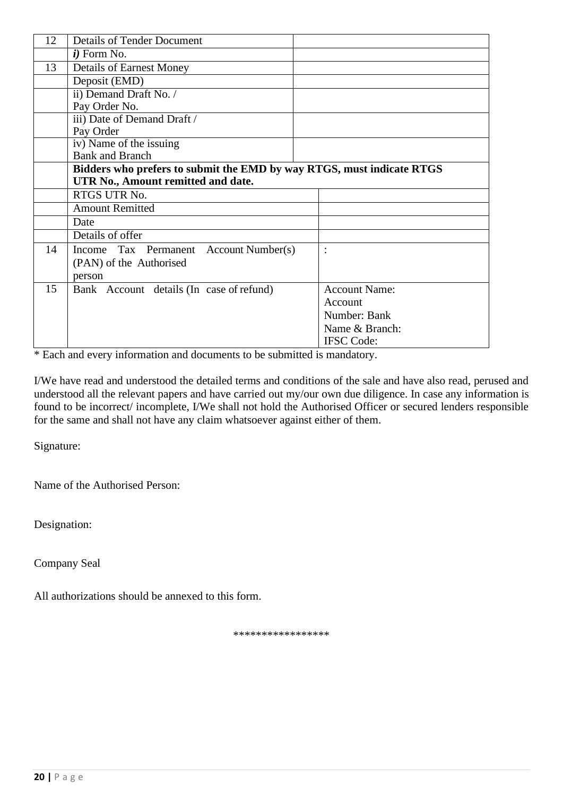| 12 | <b>Details of Tender Document</b>                                     |                      |
|----|-----------------------------------------------------------------------|----------------------|
|    | $i)$ Form No.                                                         |                      |
| 13 | <b>Details of Earnest Money</b>                                       |                      |
|    | Deposit (EMD)                                                         |                      |
|    | ii) Demand Draft No. /                                                |                      |
|    | Pay Order No.                                                         |                      |
|    | iii) Date of Demand Draft /                                           |                      |
|    | Pay Order                                                             |                      |
|    | iv) Name of the issuing                                               |                      |
|    | <b>Bank and Branch</b>                                                |                      |
|    | Bidders who prefers to submit the EMD by way RTGS, must indicate RTGS |                      |
|    | UTR No., Amount remitted and date.                                    |                      |
|    | RTGS UTR No.                                                          |                      |
|    | <b>Amount Remitted</b>                                                |                      |
|    | Date                                                                  |                      |
|    | Details of offer                                                      |                      |
| 14 | Income Tax Permanent Account Number(s)                                | $\ddot{\cdot}$       |
|    | (PAN) of the Authorised                                               |                      |
|    | person                                                                |                      |
| 15 | Bank Account details (In case of refund)                              | <b>Account Name:</b> |
|    |                                                                       | Account              |
|    |                                                                       | Number: Bank         |
|    |                                                                       | Name & Branch:       |
|    |                                                                       | <b>IFSC</b> Code:    |

\* Each and every information and documents to be submitted is mandatory.

I/We have read and understood the detailed terms and conditions of the sale and have also read, perused and understood all the relevant papers and have carried out my/our own due diligence. In case any information is found to be incorrect/ incomplete, I/We shall not hold the Authorised Officer or secured lenders responsible for the same and shall not have any claim whatsoever against either of them.

Signature:

Name of the Authorised Person:

Designation:

Company Seal

All authorizations should be annexed to this form.

\*\*\*\*\*\*\*\*\*\*\*\*\*\*\*\*\*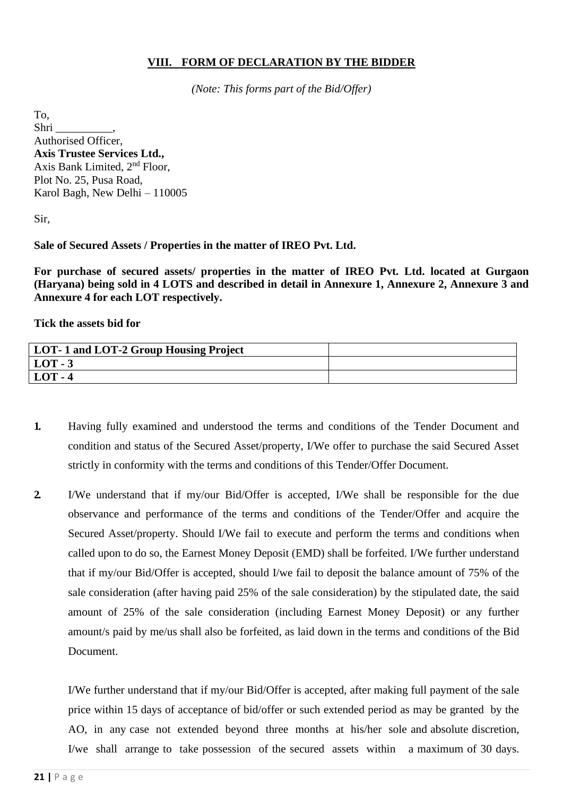#### **VIII. FORM OF DECLARATION BY THE BIDDER**

*(Note: This forms part of the Bid/Offer)*

To, Shri \_\_\_\_\_\_\_\_\_\_, Authorised Officer, **Axis Trustee Services Ltd.,**  Axis Bank Limited, 2nd Floor, Plot No. 25, Pusa Road, Karol Bagh, New Delhi – 110005

Sir,

#### **Sale of Secured Assets / Properties in the matter of IREO Pvt. Ltd.**

**For purchase of secured assets/ properties in the matter of IREO Pvt. Ltd. located at Gurgaon (Haryana) being sold in 4 LOTS and described in detail in Annexure 1, Annexure 2, Annexure 3 and Annexure 4 for each LOT respectively.** 

**Tick the assets bid for**

| LOT-1 and LOT-2 Group Housing Project |  |
|---------------------------------------|--|
| $LOT - 3$                             |  |
| $LOT - 4$                             |  |

- **1.** Having fully examined and understood the terms and conditions of the Tender Document and condition and status of the Secured Asset/property, I/We offer to purchase the said Secured Asset strictly in conformity with the terms and conditions of this Tender/Offer Document.
- **2.** I/We understand that if my/our Bid/Offer is accepted, I/We shall be responsible for the due observance and performance of the terms and conditions of the Tender/Offer and acquire the Secured Asset/property. Should I/We fail to execute and perform the terms and conditions when called upon to do so, the Earnest Money Deposit (EMD) shall be forfeited. I/We further understand that if my/our Bid/Offer is accepted, should I/we fail to deposit the balance amount of 75% of the sale consideration (after having paid 25% of the sale consideration) by the stipulated date, the said amount of 25% of the sale consideration (including Earnest Money Deposit) or any further amount/s paid by me/us shall also be forfeited, as laid down in the terms and conditions of the Bid Document.

I/We further understand that if my/our Bid/Offer is accepted, after making full payment of the sale price within 15 days of acceptance of bid/offer or such extended period as may be granted by the AO, in any case not extended beyond three months at his/her sole and absolute discretion, I/we shall arrange to take possession of the secured assets within a maximum of 30 days.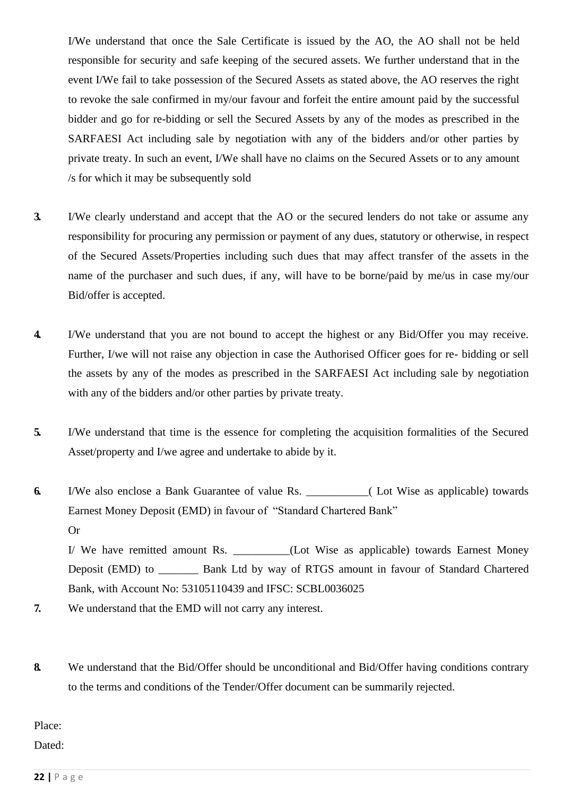I/We understand that once the Sale Certificate is issued by the AO, the AO shall not be held responsible for security and safe keeping of the secured assets. We further understand that in the event I/We fail to take possession of the Secured Assets as stated above, the AO reserves the right to revoke the sale confirmed in my/our favour and forfeit the entire amount paid by the successful bidder and go for re-bidding or sell the Secured Assets by any of the modes as prescribed in the SARFAESI Act including sale by negotiation with any of the bidders and/or other parties by private treaty. In such an event, I/We shall have no claims on the Secured Assets or to any amount /s for which it may be subsequently sold

- **3.** I/We clearly understand and accept that the AO or the secured lenders do not take or assume any responsibility for procuring any permission or payment of any dues, statutory or otherwise, in respect of the Secured Assets/Properties including such dues that may affect transfer of the assets in the name of the purchaser and such dues, if any, will have to be borne/paid by me/us in case my/our Bid/offer is accepted.
- **4.** I/We understand that you are not bound to accept the highest or any Bid/Offer you may receive. Further, I/we will not raise any objection in case the Authorised Officer goes for re- bidding or sell the assets by any of the modes as prescribed in the SARFAESI Act including sale by negotiation with any of the bidders and/or other parties by private treaty.
- **5.** I/We understand that time is the essence for completing the acquisition formalities of the Secured Asset/property and I/we agree and undertake to abide by it.
- **6.** I/We also enclose a Bank Guarantee of value Rs. \_\_\_\_\_\_\_\_\_\_\_( Lot Wise as applicable) towards Earnest Money Deposit (EMD) in favour of "Standard Chartered Bank" Or

I/ We have remitted amount Rs. \_\_\_\_\_\_\_\_(Lot Wise as applicable) towards Earnest Money Deposit (EMD) to \_\_\_\_\_\_\_ Bank Ltd by way of RTGS amount in favour of Standard Chartered Bank, with Account No: 53105110439 and IFSC: SCBL0036025

- **7.** We understand that the EMD will not carry any interest.
- **8.** We understand that the Bid/Offer should be unconditional and Bid/Offer having conditions contrary to the terms and conditions of the Tender/Offer document can be summarily rejected.

Place:

Dated: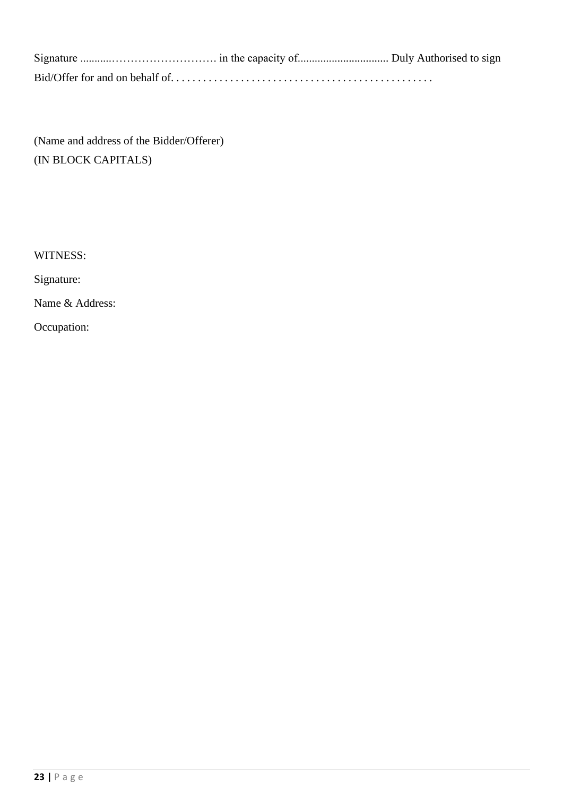(Name and address of the Bidder/Offerer) (IN BLOCK CAPITALS)

WITNESS:

Signature:

Name & Address:

Occupation: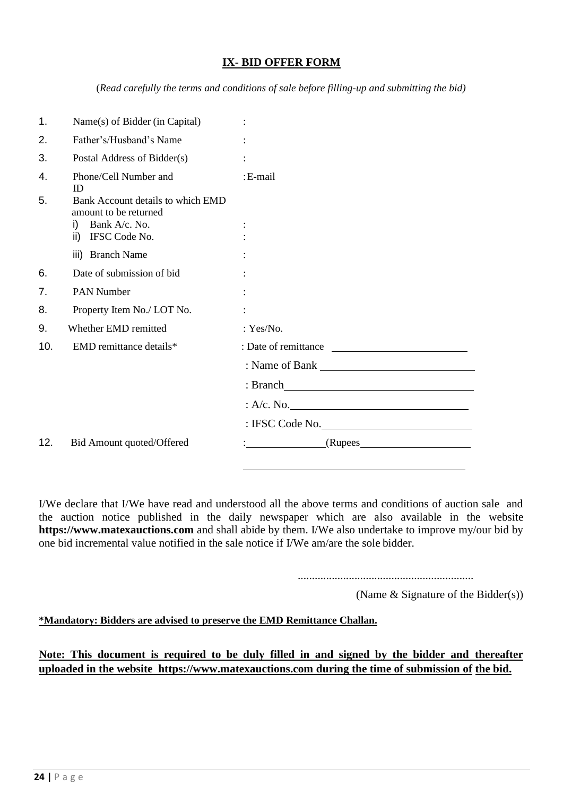#### **IX- BID OFFER FORM**

(*Read carefully the terms and conditions of sale before filling-up and submitting the bid)*

| 1.  | Name(s) of Bidder (in Capital)                             |                      |
|-----|------------------------------------------------------------|----------------------|
| 2.  | Father's/Husband's Name                                    |                      |
| 3.  | Postal Address of Bidder(s)                                |                      |
| 4.  | Phone/Cell Number and<br>ID                                | :E-mail              |
| 5.  | Bank Account details to which EMD<br>amount to be returned |                      |
|     | i) Bank $A/c$ . No.                                        |                      |
|     | ii) IFSC Code No.                                          |                      |
|     | iii) Branch Name                                           |                      |
| 6.  | Date of submission of bid                                  |                      |
| 7.  | <b>PAN Number</b>                                          |                      |
| 8.  | Property Item No./ LOT No.                                 |                      |
| 9.  | Whether EMD remitted                                       | : Yes/No.            |
| 10. | EMD remittance details*                                    | : Date of remittance |
|     |                                                            | Name of Bank         |
|     |                                                            | : Branch             |
|     |                                                            | : A/c. No.           |
|     |                                                            | : IFSC Code No.      |
| 12. | Bid Amount quoted/Offered                                  |                      |
|     |                                                            |                      |

I/We declare that I/We have read and understood all the above terms and conditions of auction sale and the auction notice published in the daily newspaper which are also available in the website **https://www.matexauctions.com** and shall abide by them. I/We also undertake to improve my/our bid by one bid incremental value notified in the sale notice if I/We am/are the sole bidder.

..............................................................

(Name & Signature of the Bidder(s))

**\*Mandatory: Bidders are advised to preserve the EMD Remittance Challan.**

**Note: This document is required to be duly filled in and signed by the bidder and thereafter uploaded in the website https://www.matexauctions.com during the time of submission of the bid.**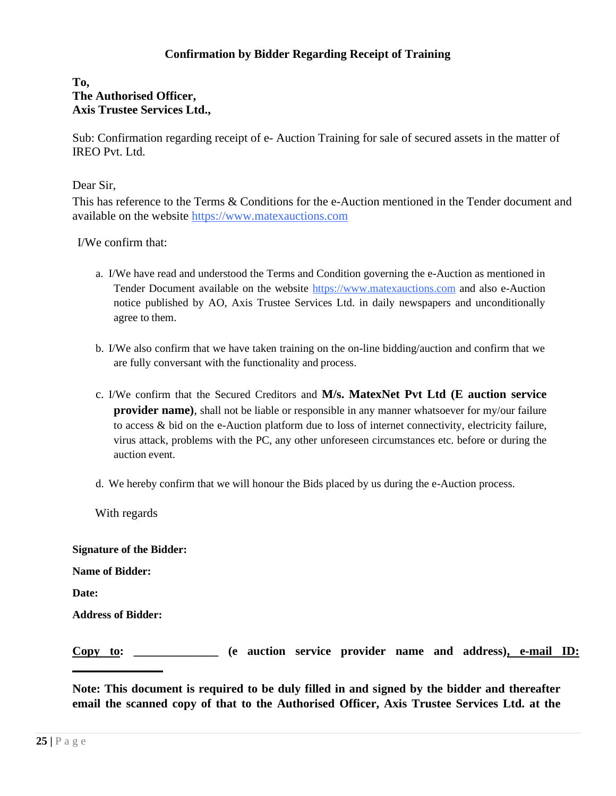#### **Confirmation by Bidder Regarding Receipt of Training**

#### **To, The Authorised Officer, Axis Trustee Services Ltd.,**

Sub: Confirmation regarding receipt of e- Auction Training for sale of secured assets in the matter of IREO Pvt. Ltd.

Dear Sir,

This has reference to the Terms & Conditions for the e-Auction mentioned in the Tender document and available on the website [https://www.matexauctions.com](https://www.matexauctions.com/)

I/We confirm that:

- a. I/We have read and understood the Terms and Condition governing the e-Auction as mentioned in Tender Document available on the website [https://www.matexauctions.com](https://www.matexauctions.com/) and also e-Auction notice published by AO, Axis Trustee Services Ltd. in daily newspapers and unconditionally agree to them.
- b. I/We also confirm that we have taken training on the on-line bidding/auction and confirm that we are fully conversant with the functionality and process.
- c. I/We confirm that the Secured Creditors and **M/s. MatexNet Pvt Ltd (E auction service provider name**), shall not be liable or responsible in any manner whatsoever for my/our failure to access & bid on the e-Auction platform due to loss of internet connectivity, electricity failure, virus attack, problems with the PC, any other unforeseen circumstances etc. before or during the auction event.
- d. We hereby confirm that we will honour the Bids placed by us during the e-Auction process.

With regards

**Signature of the Bidder:**

**Name of Bidder:**

**Date:**

**Address of Bidder:**

**\_\_\_\_\_\_\_\_\_\_\_\_\_\_\_**

**Copy to: \_\_\_\_\_\_\_\_\_\_\_\_\_\_ (e auction service provider name and address), e-mail ID:** 

**Note: This document is required to be duly filled in and signed by the bidder and thereafter email the scanned copy of that to the Authorised Officer, Axis Trustee Services Ltd. at the**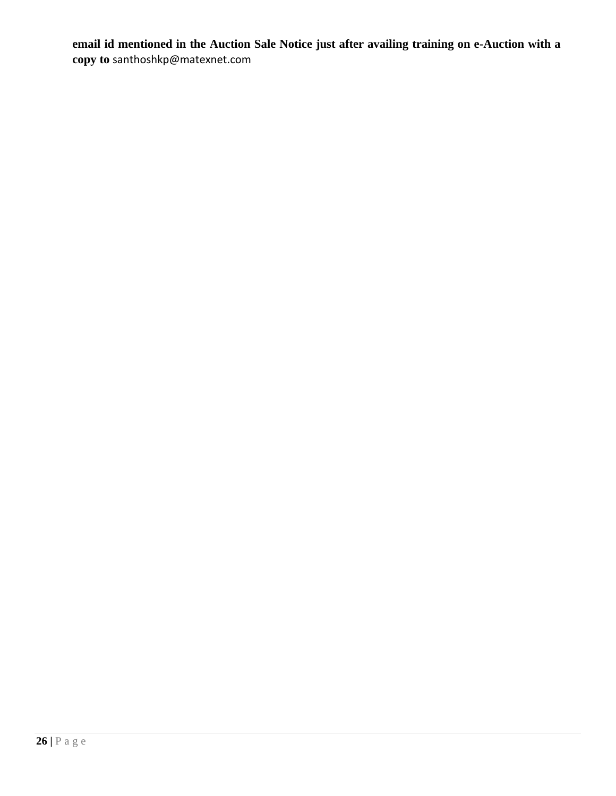**email id mentioned in the Auction Sale Notice just after availing training on e-Auction with a copy to** santhoshkp@matexnet.com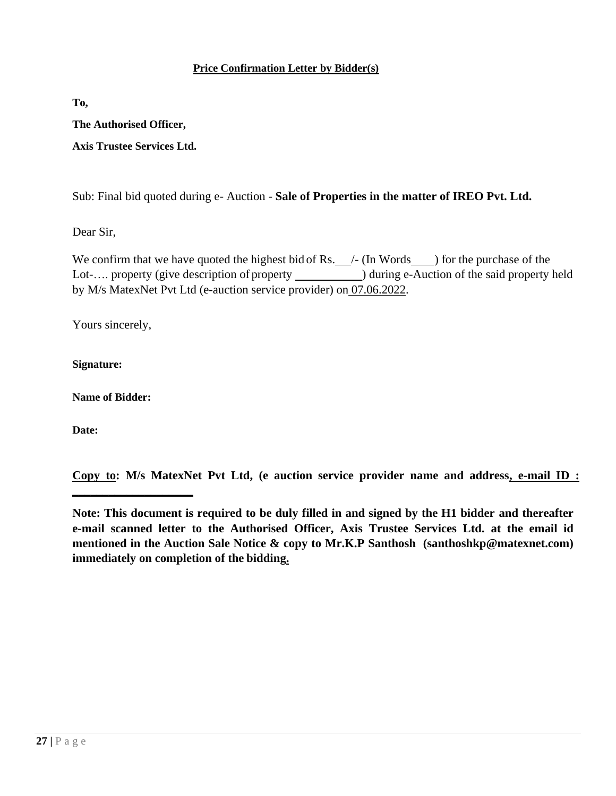#### **Price Confirmation Letter by Bidder(s)**

**To,**

**The Authorised Officer,** 

**Axis Trustee Services Ltd.**

Sub: Final bid quoted during e- Auction - **Sale of Properties in the matter of IREO Pvt. Ltd.**

Dear Sir,

We confirm that we have quoted the highest bid of Rs.  $\angle$  - (In Words  $\angle$  ) for the purchase of the Lot-.... property (give description of property \_\_\_\_\_\_\_\_\_\_\_\_\_) during e-Auction of the said property held by M/s MatexNet Pvt Ltd (e-auction service provider) on 07.06.2022.

Yours sincerely,

**Signature:**

**Name of Bidder:**

**\_\_\_\_\_\_\_\_\_\_\_\_\_\_\_\_\_\_\_\_**

**Date:**

**Copy to: M/s MatexNet Pvt Ltd, (e auction service provider name and address, e-mail ID :** 

**Note: This document is required to be duly filled in and signed by the H1 bidder and thereafter e-mail scanned letter to the Authorised Officer, Axis Trustee Services Ltd. at the email id mentioned in the Auction Sale Notice & copy to Mr.K.P Santhosh (santhoshkp@matexnet.com) immediately on completion of the bidding.**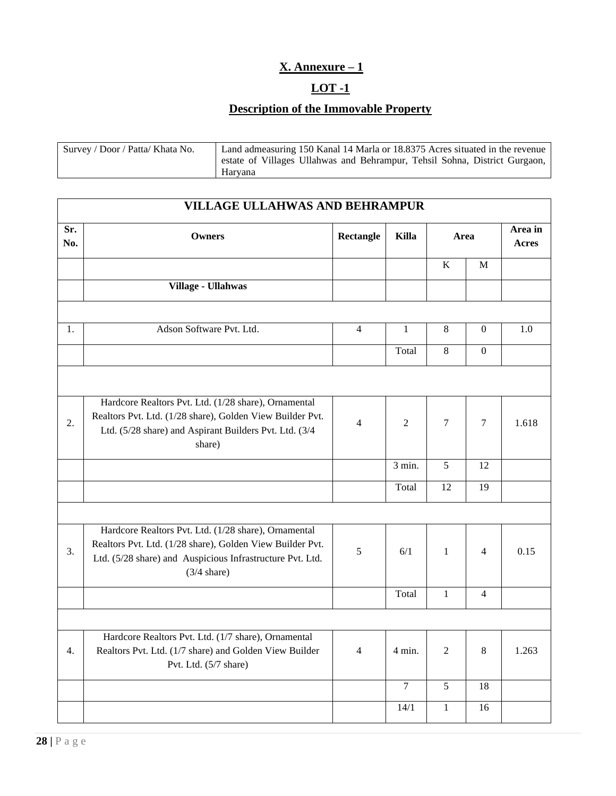### **X. Annexure – 1**

#### **LOT -1**

# **Description of the Immovable Property**

| Survey / Door / Patta/ Khata No. | Land admeasuring 150 Kanal 14 Marla or 18.8375 Acres situated in the revenue |
|----------------------------------|------------------------------------------------------------------------------|
|                                  | estate of Villages Ullahwas and Behrampur, Tehsil Sohna, District Gurgaon,   |
|                                  | Harvana                                                                      |

|            | <b>VILLAGE ULLAHWAS AND BEHRAMPUR</b>                                                                                                                                                                   |                |                  |                |                  |                  |
|------------|---------------------------------------------------------------------------------------------------------------------------------------------------------------------------------------------------------|----------------|------------------|----------------|------------------|------------------|
| Sr.<br>No. | <b>Owners</b>                                                                                                                                                                                           | Rectangle      | Killa            | Area           |                  | Area in<br>Acres |
|            |                                                                                                                                                                                                         |                |                  | K              | M                |                  |
|            | Village - Ullahwas                                                                                                                                                                                      |                |                  |                |                  |                  |
|            |                                                                                                                                                                                                         |                |                  |                |                  |                  |
| 1.         | Adson Software Pvt. Ltd.                                                                                                                                                                                | $\overline{4}$ | $\mathbf{1}$     | 8              | $\boldsymbol{0}$ | 1.0              |
|            |                                                                                                                                                                                                         |                | Total            | $\overline{8}$ | $\Omega$         |                  |
|            |                                                                                                                                                                                                         |                |                  |                |                  |                  |
| 2.         | Hardcore Realtors Pvt. Ltd. (1/28 share), Ornamental<br>Realtors Pvt. Ltd. (1/28 share), Golden View Builder Pvt.<br>Ltd. (5/28 share) and Aspirant Builders Pvt. Ltd. (3/4<br>share)                   | $\overline{4}$ | 2                | 7              | $\tau$           | 1.618            |
|            |                                                                                                                                                                                                         |                | 3 min.           | 5              | 12               |                  |
|            |                                                                                                                                                                                                         |                | Total            | 12             | 19               |                  |
|            |                                                                                                                                                                                                         |                |                  |                |                  |                  |
| 3.         | Hardcore Realtors Pvt. Ltd. (1/28 share), Ornamental<br>Realtors Pvt. Ltd. (1/28 share), Golden View Builder Pvt.<br>Ltd. (5/28 share) and Auspicious Infrastructure Pvt. Ltd.<br>$(3/4 \text{ share})$ | 5              | 6/1              | $\mathbf{1}$   | $\overline{4}$   | 0.15             |
|            |                                                                                                                                                                                                         |                | Total            | $\mathbf{1}$   | $\overline{4}$   |                  |
|            |                                                                                                                                                                                                         |                |                  |                |                  |                  |
| 4.         | Hardcore Realtors Pvt. Ltd. (1/7 share), Ornamental<br>Realtors Pvt. Ltd. (1/7 share) and Golden View Builder<br>Pvt. Ltd. (5/7 share)                                                                  | $\overline{4}$ | $4 \text{ min.}$ | 2              | 8                | 1.263            |
|            |                                                                                                                                                                                                         |                | $\tau$           | 5              | 18               |                  |
|            |                                                                                                                                                                                                         |                | 14/1             | $\mathbf{1}$   | 16               |                  |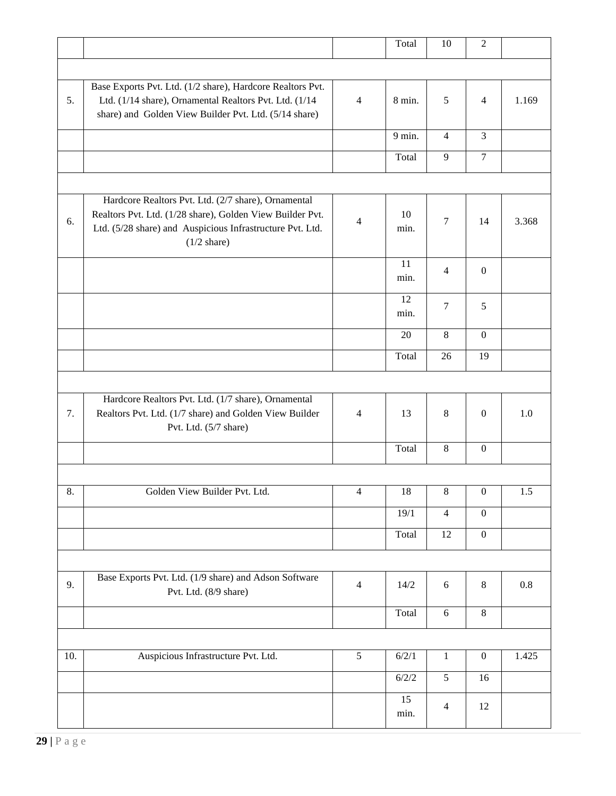|     |                                                                                                                      |                | Total      | 10             | $\overline{2}$   |       |
|-----|----------------------------------------------------------------------------------------------------------------------|----------------|------------|----------------|------------------|-------|
|     |                                                                                                                      |                |            |                |                  |       |
|     |                                                                                                                      |                |            |                |                  |       |
| 5.  | Base Exports Pvt. Ltd. (1/2 share), Hardcore Realtors Pvt.<br>Ltd. (1/14 share), Ornamental Realtors Pvt. Ltd. (1/14 | $\overline{4}$ | 8 min.     | 5              | $\overline{4}$   | 1.169 |
|     | share) and Golden View Builder Pvt. Ltd. (5/14 share)                                                                |                |            |                |                  |       |
|     |                                                                                                                      |                |            |                |                  |       |
|     |                                                                                                                      |                | 9 min.     | $\overline{4}$ | 3                |       |
|     |                                                                                                                      |                | Total      | 9              | $\tau$           |       |
|     |                                                                                                                      |                |            |                |                  |       |
|     | Hardcore Realtors Pvt. Ltd. (2/7 share), Ornamental                                                                  |                |            |                |                  |       |
|     | Realtors Pvt. Ltd. (1/28 share), Golden View Builder Pvt.                                                            |                | 10         |                |                  |       |
| 6.  | Ltd. (5/28 share) and Auspicious Infrastructure Pvt. Ltd.                                                            | 4              | min.       | $\overline{7}$ | 14               | 3.368 |
|     | $(1/2 \text{ share})$                                                                                                |                |            |                |                  |       |
|     |                                                                                                                      |                |            |                |                  |       |
|     |                                                                                                                      |                | 11<br>min. | $\overline{4}$ | $\boldsymbol{0}$ |       |
|     |                                                                                                                      |                |            |                |                  |       |
|     |                                                                                                                      |                | 12         | $\tau$         | 5                |       |
|     |                                                                                                                      |                | min.       |                |                  |       |
|     |                                                                                                                      |                | 20         | 8              | $\boldsymbol{0}$ |       |
|     |                                                                                                                      |                | Total      | 26             | 19               |       |
|     |                                                                                                                      |                |            |                |                  |       |
|     |                                                                                                                      |                |            |                |                  |       |
|     | Hardcore Realtors Pvt. Ltd. (1/7 share), Ornamental                                                                  |                |            |                |                  |       |
| 7.  | Realtors Pvt. Ltd. (1/7 share) and Golden View Builder                                                               | $\overline{4}$ | 13         | 8              | $\mathbf{0}$     | 1.0   |
|     | Pvt. Ltd. (5/7 share)                                                                                                |                |            |                |                  |       |
|     |                                                                                                                      |                | Total      | 8              | $\boldsymbol{0}$ |       |
|     |                                                                                                                      |                |            |                |                  |       |
| 8.  | Golden View Builder Pvt. Ltd.                                                                                        | $\overline{4}$ | 18         | $\,8\,$        | $\boldsymbol{0}$ | 1.5   |
|     |                                                                                                                      |                |            |                |                  |       |
|     |                                                                                                                      |                | 19/1       | $\overline{4}$ | $\boldsymbol{0}$ |       |
|     |                                                                                                                      |                | Total      | 12             | $\boldsymbol{0}$ |       |
|     |                                                                                                                      |                |            |                |                  |       |
|     | Base Exports Pvt. Ltd. (1/9 share) and Adson Software                                                                |                |            |                |                  |       |
| 9.  | Pvt. Ltd. (8/9 share)                                                                                                | $\overline{4}$ | 14/2       | 6              | 8                | 0.8   |
|     |                                                                                                                      |                | Total      | 6              | $8\,$            |       |
|     |                                                                                                                      |                |            |                |                  |       |
|     |                                                                                                                      |                |            |                |                  |       |
| 10. | Auspicious Infrastructure Pvt. Ltd.                                                                                  | 5              | 6/2/1      | $\mathbf{1}$   | $\boldsymbol{0}$ | 1.425 |
|     |                                                                                                                      |                | 6/2/2      | 5              | 16               |       |
|     |                                                                                                                      |                | 15         |                |                  |       |
|     |                                                                                                                      |                | min.       | $\overline{4}$ | 12               |       |
|     |                                                                                                                      |                |            |                |                  |       |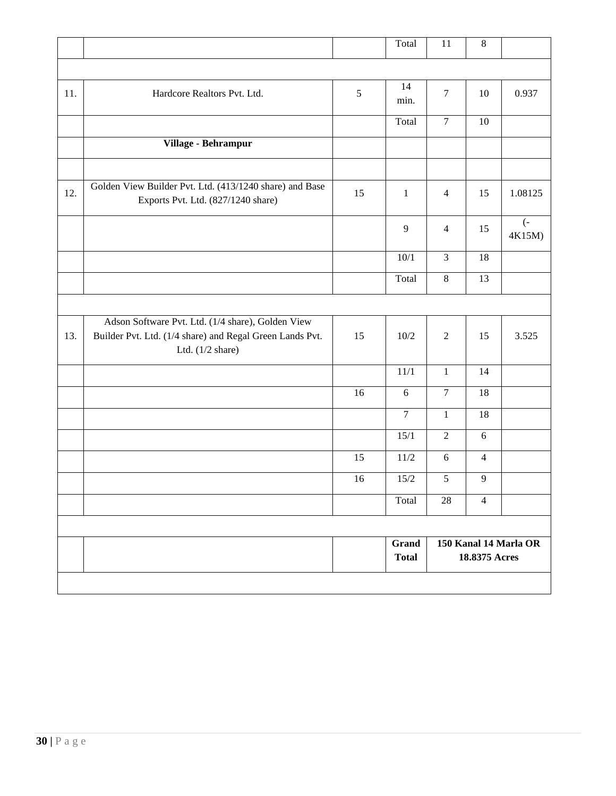|     |                                                                                                                                             |    | Total                        | 11                                     | $\,8\,$        |                            |
|-----|---------------------------------------------------------------------------------------------------------------------------------------------|----|------------------------------|----------------------------------------|----------------|----------------------------|
|     |                                                                                                                                             |    |                              |                                        |                |                            |
| 11. | Hardcore Realtors Pvt. Ltd.                                                                                                                 | 5  | 14<br>min.                   | $\boldsymbol{7}$                       | 10             | 0.937                      |
|     |                                                                                                                                             |    | Total                        | $\tau$                                 | 10             |                            |
|     | Village - Behrampur                                                                                                                         |    |                              |                                        |                |                            |
|     |                                                                                                                                             |    |                              |                                        |                |                            |
| 12. | Golden View Builder Pvt. Ltd. (413/1240 share) and Base<br>Exports Pvt. Ltd. (827/1240 share)                                               | 15 | $\mathbf{1}$                 | $\overline{4}$                         | 15             | 1.08125                    |
|     |                                                                                                                                             |    | 9                            | $\overline{4}$                         | 15             | $\overline{(-)}$<br>4K15M) |
|     |                                                                                                                                             |    | 10/1                         | $\overline{3}$                         | 18             |                            |
|     |                                                                                                                                             |    | Total                        | $8\,$                                  | 13             |                            |
|     |                                                                                                                                             |    |                              |                                        |                |                            |
| 13. | Adson Software Pvt. Ltd. (1/4 share), Golden View<br>Builder Pvt. Ltd. (1/4 share) and Regal Green Lands Pvt.<br>Ltd. $(1/2 \text{ share})$ | 15 | 10/2                         | $\overline{2}$                         | 15             | 3.525                      |
|     |                                                                                                                                             |    | 11/1                         | $\mathbf{1}$                           | 14             |                            |
|     |                                                                                                                                             | 16 | $6\,$                        | $\tau$                                 | 18             |                            |
|     |                                                                                                                                             |    | $\overline{7}$               | $\mathbf{1}$                           | 18             |                            |
|     |                                                                                                                                             |    | 15/1                         | $\overline{2}$                         | 6              |                            |
|     |                                                                                                                                             | 15 | $11/2$                       | 6                                      | $\overline{4}$ |                            |
|     |                                                                                                                                             | 16 | $15/2$                       | 5                                      | 9              |                            |
|     |                                                                                                                                             |    | Total                        | 28                                     | $\overline{4}$ |                            |
|     |                                                                                                                                             |    |                              |                                        |                |                            |
|     |                                                                                                                                             |    | <b>Grand</b><br><b>Total</b> | 150 Kanal 14 Marla OR<br>18.8375 Acres |                |                            |
|     |                                                                                                                                             |    |                              |                                        |                |                            |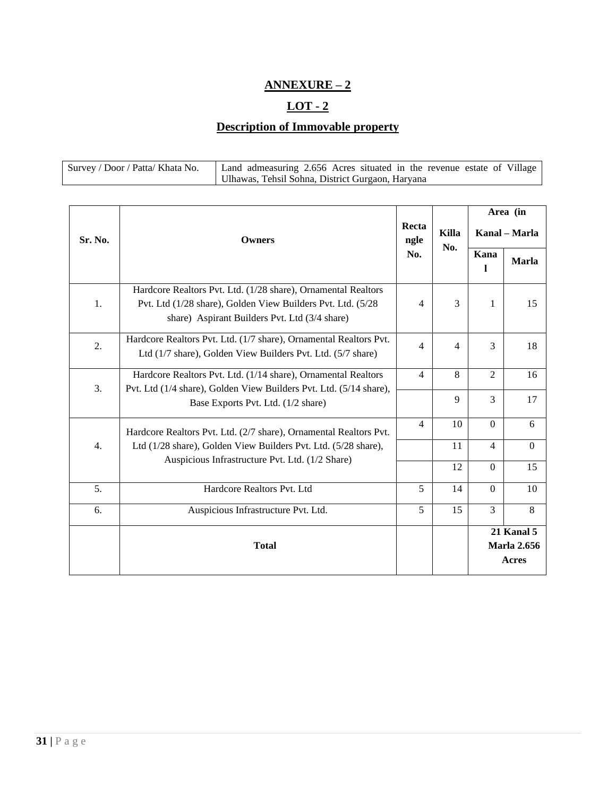### **ANNEXURE – 2**

### $LOT - 2$

### **Description of Immovable property**

| Survey / Door / Patta/ Khata No. | Land admeasuring 2.656 Acres situated in the revenue estate of Village |
|----------------------------------|------------------------------------------------------------------------|
|                                  | Ulhawas, Tehsil Sohna, District Gurgaon, Haryana                       |

|         |                                                                                                                                                                               |                |       | Area (in<br>Kanal – Marla |                                  |  |
|---------|-------------------------------------------------------------------------------------------------------------------------------------------------------------------------------|----------------|-------|---------------------------|----------------------------------|--|
| Sr. No. | Owners                                                                                                                                                                        | Recta<br>ngle  | Killa |                           |                                  |  |
|         |                                                                                                                                                                               | No.            | No.   | Kana                      | <b>Marla</b>                     |  |
| 1.      | Hardcore Realtors Pvt. Ltd. (1/28 share), Ornamental Realtors<br>Pvt. Ltd (1/28 share), Golden View Builders Pvt. Ltd. (5/28<br>share) Aspirant Builders Pvt. Ltd (3/4 share) | $\overline{4}$ | 3     | 1                         | 15                               |  |
| 2.      | Hardcore Realtors Pvt. Ltd. (1/7 share), Ornamental Realtors Pvt.<br>Ltd (1/7 share), Golden View Builders Pvt. Ltd. (5/7 share)                                              | 4              | 4     | 3                         | 18                               |  |
|         | Hardcore Realtors Pvt. Ltd. (1/14 share), Ornamental Realtors                                                                                                                 | $\overline{4}$ | 8     | $\overline{2}$            | 16                               |  |
| 3.      | Pvt. Ltd (1/4 share), Golden View Builders Pvt. Ltd. (5/14 share),<br>Base Exports Pvt. Ltd. (1/2 share)                                                                      |                | 9     | 3                         | 17                               |  |
|         | Hardcore Realtors Pvt. Ltd. (2/7 share), Ornamental Realtors Pvt.                                                                                                             | $\overline{4}$ | 10    | $\Omega$                  | 6                                |  |
| 4.      | Ltd (1/28 share), Golden View Builders Pvt. Ltd. (5/28 share),                                                                                                                |                | 11    | 4                         | $\Omega$                         |  |
|         | Auspicious Infrastructure Pvt. Ltd. (1/2 Share)                                                                                                                               |                | 12    | $\Omega$                  | 15                               |  |
| 5.      | Hardcore Realtors Pvt. Ltd                                                                                                                                                    | 5              | 14    | $\Omega$                  | 10                               |  |
| 6.      | Auspicious Infrastructure Pvt. Ltd.                                                                                                                                           | 5              | 15    | 3                         | 8                                |  |
|         | <b>Total</b>                                                                                                                                                                  |                |       |                           | 21 Kanal 5<br><b>Marla 2.656</b> |  |
|         |                                                                                                                                                                               |                |       |                           | Acres                            |  |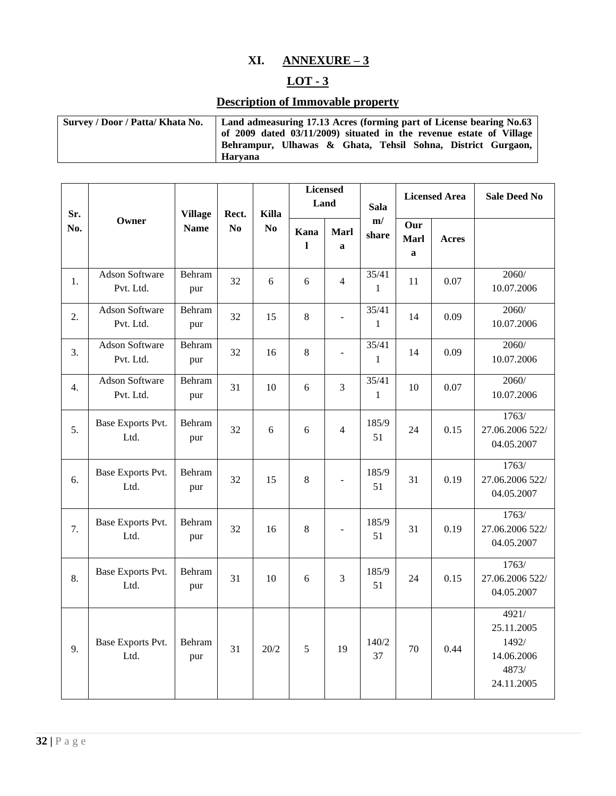#### **XI. ANNEXURE – 3**

#### $LOT - 3$

# **Description of Immovable property**

| Survey / Door / Patta/ Khata No. | Land admeasuring 17.13 Acres (forming part of License bearing No.63 |  |  |  |  |  |  |  |  |  |  |
|----------------------------------|---------------------------------------------------------------------|--|--|--|--|--|--|--|--|--|--|
|                                  | of 2009 dated 03/11/2009) situated in the revenue estate of Village |  |  |  |  |  |  |  |  |  |  |
|                                  | Behrampur, Ulhawas & Ghata, Tehsil Sohna, District Gurgaon,         |  |  |  |  |  |  |  |  |  |  |
|                                  | Harvana                                                             |  |  |  |  |  |  |  |  |  |  |

| Sr.              |                                    | <b>Village</b> | Rect.          | <b>Killa</b>   | <b>Licensed</b>      | Land                     | <b>Sala</b>           | <b>Licensed Area</b>               |              | <b>Sale Deed No</b>                                               |
|------------------|------------------------------------|----------------|----------------|----------------|----------------------|--------------------------|-----------------------|------------------------------------|--------------|-------------------------------------------------------------------|
| No.              | Owner                              | <b>Name</b>    | N <sub>0</sub> | N <sub>0</sub> | Kana<br>$\mathbf{I}$ | Marl<br>$\mathbf{a}$     | m/<br>share           | Our<br><b>Marl</b><br>$\mathbf{a}$ | <b>Acres</b> |                                                                   |
| 1.               | <b>Adson Software</b><br>Pvt. Ltd. | Behram<br>pur  | 32             | 6              | 6                    | $\overline{4}$           | 35/41<br>1            | 11                                 | 0.07         | 2060/<br>10.07.2006                                               |
| 2.               | <b>Adson Software</b><br>Pvt. Ltd. | Behram<br>pur  | 32             | 15             | 8                    |                          | 35/41<br>$\mathbf{1}$ | 14                                 | 0.09         | 2060/<br>10.07.2006                                               |
| 3.               | <b>Adson Software</b><br>Pvt. Ltd. | Behram<br>pur  | 32             | 16             | $\,8\,$              | $\overline{\phantom{0}}$ | 35/41<br>$\mathbf{1}$ | 14                                 | 0.09         | 2060/<br>10.07.2006                                               |
| $\overline{4}$ . | <b>Adson Software</b><br>Pvt. Ltd. | Behram<br>pur  | 31             | 10             | 6                    | 3                        | 35/41<br>$\mathbf{1}$ | 10                                 | 0.07         | 2060/<br>10.07.2006                                               |
| 5.               | Base Exports Pvt.<br>Ltd.          | Behram<br>pur  | 32             | 6              | 6                    | $\overline{4}$           | 185/9<br>51           | 24                                 | 0.15         | 1763/<br>27.06.2006 522/<br>04.05.2007                            |
| 6.               | Base Exports Pvt.<br>Ltd.          | Behram<br>pur  | 32             | 15             | 8                    |                          | 185/9<br>51           | 31                                 | 0.19         | 1763/<br>27.06.2006 522/<br>04.05.2007                            |
| 7.               | Base Exports Pvt.<br>Ltd.          | Behram<br>pur  | 32             | 16             | 8                    |                          | 185/9<br>51           | 31                                 | 0.19         | 1763/<br>27.06.2006 522/<br>04.05.2007                            |
| 8.               | Base Exports Pvt.<br>Ltd.          | Behram<br>pur  | 31             | 10             | 6                    | 3                        | 185/9<br>51           | 24                                 | 0.15         | 1763/<br>27.06.2006 522/<br>04.05.2007                            |
| 9.               | Base Exports Pvt.<br>Ltd.          | Behram<br>pur  | 31             | 20/2           | 5                    | 19                       | 140/2<br>37           | 70                                 | 0.44         | 4921/<br>25.11.2005<br>1492/<br>14.06.2006<br>4873/<br>24.11.2005 |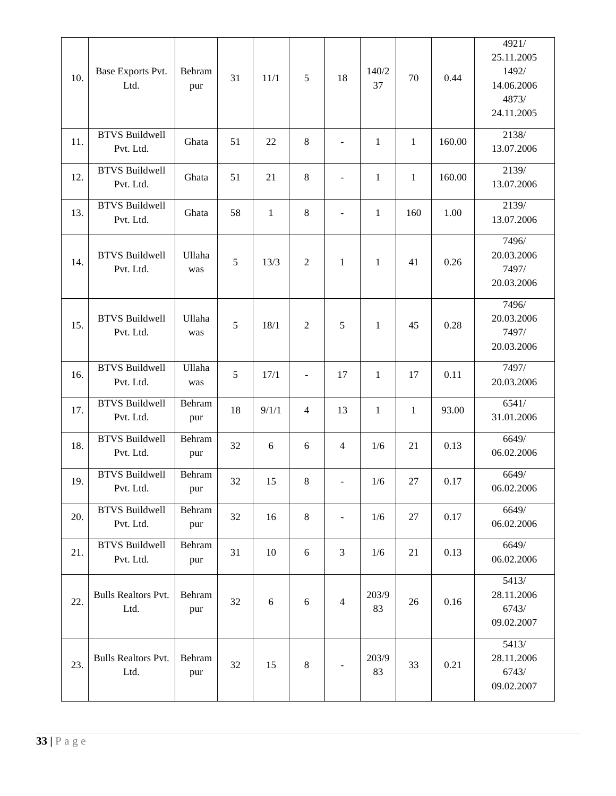| 10. | Base Exports Pvt.<br>Ltd.          | Behram<br>pur | 31 | 11/1         | 5              | 18                       | 140/2<br>37  | 70           | 0.44   | 4921/<br>25.11.2005<br>1492/<br>14.06.2006<br>4873/<br>24.11.2005 |
|-----|------------------------------------|---------------|----|--------------|----------------|--------------------------|--------------|--------------|--------|-------------------------------------------------------------------|
| 11. | <b>BTVS Buildwell</b><br>Pvt. Ltd. | Ghata         | 51 | 22           | 8              | $\overline{\phantom{0}}$ | $\mathbf{1}$ | $\mathbf{1}$ | 160.00 | 2138/<br>13.07.2006                                               |
| 12. | <b>BTVS Buildwell</b><br>Pvt. Ltd. | Ghata         | 51 | 21           | 8              | $\overline{\phantom{0}}$ | $\mathbf{1}$ | $\mathbf{1}$ | 160.00 | 2139/<br>13.07.2006                                               |
| 13. | <b>BTVS Buildwell</b><br>Pvt. Ltd. | Ghata         | 58 | $\mathbf{1}$ | 8              | $\overline{\phantom{a}}$ | $\mathbf{1}$ | 160          | 1.00   | 2139/<br>13.07.2006                                               |
| 14. | <b>BTVS Buildwell</b><br>Pvt. Ltd. | Ullaha<br>was | 5  | 13/3         | $\overline{2}$ | $\mathbf{1}$             | $\mathbf{1}$ | 41           | 0.26   | 7496/<br>20.03.2006<br>7497/<br>20.03.2006                        |
| 15. | <b>BTVS Buildwell</b><br>Pvt. Ltd. | Ullaha<br>was | 5  | 18/1         | $\overline{2}$ | 5                        | $\mathbf{1}$ | 45           | 0.28   | 7496/<br>20.03.2006<br>7497/<br>20.03.2006                        |
| 16. | <b>BTVS Buildwell</b><br>Pvt. Ltd. | Ullaha<br>was | 5  | 17/1         | ÷,             | 17                       | $\mathbf{1}$ | 17           | 0.11   | 7497/<br>20.03.2006                                               |
| 17. | <b>BTVS Buildwell</b><br>Pvt. Ltd. | Behram<br>pur | 18 | 9/1/1        | $\overline{4}$ | 13                       | $\mathbf{1}$ | $\mathbf{1}$ | 93.00  | 6541/<br>31.01.2006                                               |
| 18. | <b>BTVS Buildwell</b><br>Pvt. Ltd. | Behram<br>pur | 32 | 6            | 6              | $\overline{4}$           | 1/6          | 21           | 0.13   | 6649/<br>06.02.2006                                               |
| 19. | <b>BTVS Buildwell</b><br>Pvt. Ltd. | Behram<br>pur | 32 | 15           | 8              | $\overline{\phantom{0}}$ | 1/6          | 27           | 0.17   | 6649/<br>06.02.2006                                               |
| 20. | <b>BTVS Buildwell</b><br>Pvt. Ltd. | Behram<br>pur | 32 | 16           | $\,8\,$        | $\overline{\phantom{0}}$ | 1/6          | 27           | 0.17   | 6649/<br>06.02.2006                                               |
| 21. | <b>BTVS Buildwell</b><br>Pvt. Ltd. | Behram<br>pur | 31 | 10           | 6              | 3                        | 1/6          | 21           | 0.13   | 6649/<br>06.02.2006                                               |
| 22. | <b>Bulls Realtors Pvt.</b><br>Ltd. | Behram<br>pur | 32 | 6            | 6              | $\overline{4}$           | 203/9<br>83  | 26           | 0.16   | 5413/<br>28.11.2006<br>6743/<br>09.02.2007                        |
| 23. | <b>Bulls Realtors Pvt.</b><br>Ltd. | Behram<br>pur | 32 | 15           | 8              |                          | 203/9<br>83  | 33           | 0.21   | 5413/<br>28.11.2006<br>6743/<br>09.02.2007                        |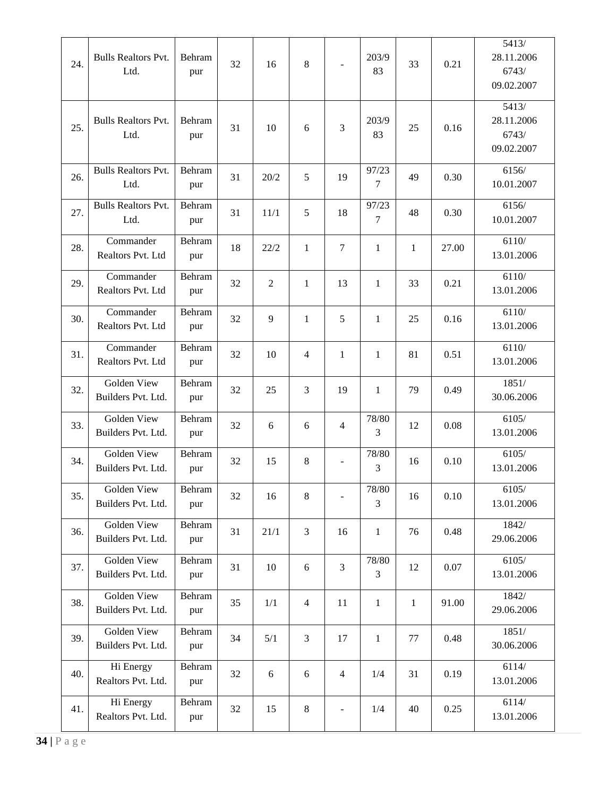| 24. | <b>Bulls Realtors Pvt.</b><br>Ltd. | Behram<br>pur | 32 | 16             | 8              |                          | 203/9<br>83             | 33           | 0.21  | 5413/<br>28.11.2006<br>6743/<br>09.02.2007 |
|-----|------------------------------------|---------------|----|----------------|----------------|--------------------------|-------------------------|--------------|-------|--------------------------------------------|
| 25. | <b>Bulls Realtors Pvt.</b><br>Ltd. | Behram<br>pur | 31 | 10             | 6              | 3                        | 203/9<br>83             | 25           | 0.16  | 5413/<br>28.11.2006<br>6743/<br>09.02.2007 |
| 26. | <b>Bulls Realtors Pvt.</b><br>Ltd. | Behram<br>pur | 31 | 20/2           | 5              | 19                       | 97/23<br>7              | 49           | 0.30  | 6156/<br>10.01.2007                        |
| 27. | <b>Bulls Realtors Pvt.</b><br>Ltd. | Behram<br>pur | 31 | 11/1           | 5              | 18                       | 97/23<br>7              | 48           | 0.30  | 6156/<br>10.01.2007                        |
| 28. | Commander<br>Realtors Pvt. Ltd     | Behram<br>pur | 18 | 22/2           | $\mathbf{1}$   | $\overline{7}$           | $\mathbf{1}$            | $\mathbf{1}$ | 27.00 | 6110/<br>13.01.2006                        |
| 29. | Commander<br>Realtors Pvt. Ltd     | Behram<br>pur | 32 | $\overline{2}$ | $\mathbf{1}$   | 13                       | $\mathbf{1}$            | 33           | 0.21  | 6110/<br>13.01.2006                        |
| 30. | Commander<br>Realtors Pvt. Ltd     | Behram<br>pur | 32 | 9              | $\mathbf{1}$   | 5                        | $\mathbf{1}$            | 25           | 0.16  | 6110/<br>13.01.2006                        |
| 31. | Commander<br>Realtors Pvt. Ltd     | Behram<br>pur | 32 | 10             | 4              | 1                        | 1                       | 81           | 0.51  | 6110/<br>13.01.2006                        |
| 32. | Golden View<br>Builders Pvt. Ltd.  | Behram<br>pur | 32 | 25             | 3              | 19                       | $\mathbf{1}$            | 79           | 0.49  | 1851/<br>30.06.2006                        |
| 33. | Golden View<br>Builders Pvt. Ltd.  | Behram<br>pur | 32 | 6              | 6              | 4                        | 78/80<br>3              | 12           | 0.08  | 6105/<br>13.01.2006                        |
| 34. | Golden View<br>Builders Pvt. Ltd.  | Behram<br>pur | 32 | 15             | 8              |                          | 78/80<br>3              | 16           | 0.10  | 6105/<br>13.01.2006                        |
| 35. | Golden View<br>Builders Pvt. Ltd.  | Behram<br>pur | 32 | 16             | 8              |                          | $78/80$<br>3            | 16           | 0.10  | 6105/<br>13.01.2006                        |
| 36. | Golden View<br>Builders Pvt. Ltd.  | Behram<br>pur | 31 | 21/1           | 3              | 16                       | $\mathbf{1}$            | 76           | 0.48  | 1842/<br>29.06.2006                        |
| 37. | Golden View<br>Builders Pvt. Ltd.  | Behram<br>pur | 31 | 10             | 6              | $\overline{3}$           | 78/80<br>$\overline{3}$ | 12           | 0.07  | 6105/<br>13.01.2006                        |
| 38. | Golden View<br>Builders Pvt. Ltd.  | Behram<br>pur | 35 | 1/1            | $\overline{4}$ | 11                       | $\mathbf{1}$            | $\mathbf{1}$ | 91.00 | 1842/<br>29.06.2006                        |
| 39. | Golden View<br>Builders Pvt. Ltd.  | Behram<br>pur | 34 | 5/1            | 3              | 17                       | $\mathbf{1}$            | 77           | 0.48  | 1851/<br>30.06.2006                        |
| 40. | Hi Energy<br>Realtors Pvt. Ltd.    | Behram<br>pur | 32 | 6              | 6              | $\overline{4}$           | 1/4                     | 31           | 0.19  | 6114/<br>13.01.2006                        |
| 41. | Hi Energy<br>Realtors Pvt. Ltd.    | Behram<br>pur | 32 | 15             | 8              | $\overline{\phantom{0}}$ | 1/4                     | 40           | 0.25  | 6114/<br>13.01.2006                        |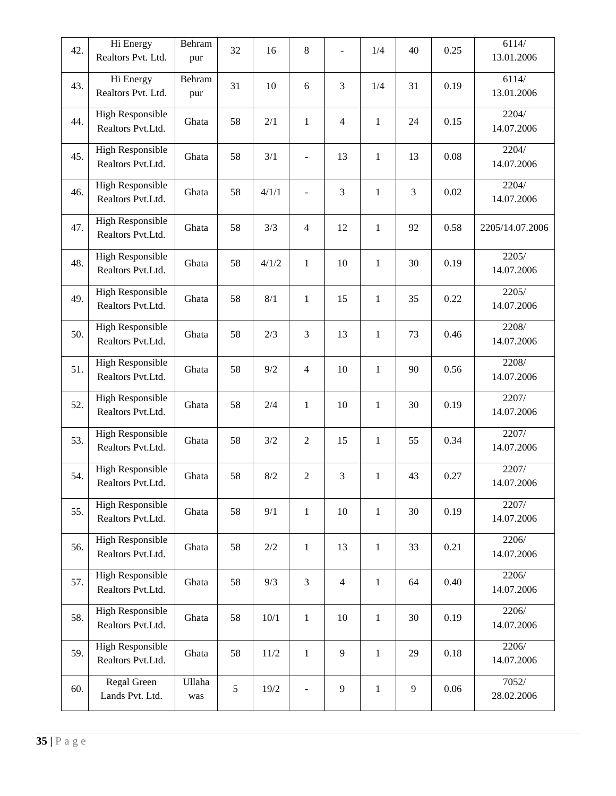| 42. | Hi Energy<br>Realtors Pvt. Ltd.              | Behram<br>pur | 32 | 16      | $\,8\,$        |                | 1/4          | 40             | 0.25 | 6114/<br>13.01.2006 |
|-----|----------------------------------------------|---------------|----|---------|----------------|----------------|--------------|----------------|------|---------------------|
| 43. | Hi Energy<br>Realtors Pvt. Ltd.              | Behram<br>pur | 31 | 10      | 6              | 3              | 1/4          | 31             | 0.19 | 6114/<br>13.01.2006 |
| 44. | <b>High Responsible</b><br>Realtors Pvt.Ltd. | Ghata         | 58 | 2/1     | $\mathbf{1}$   | $\overline{4}$ | $\mathbf{1}$ | 24             | 0.15 | 2204/<br>14.07.2006 |
| 45. | High Responsible<br>Realtors Pvt.Ltd.        | Ghata         | 58 | 3/1     |                | 13             | $\mathbf{1}$ | 13             | 0.08 | 2204/<br>14.07.2006 |
| 46. | High Responsible<br>Realtors Pvt.Ltd.        | Ghata         | 58 | 4/1/1   |                | 3              | $\mathbf{1}$ | $\mathfrak{Z}$ | 0.02 | 2204/<br>14.07.2006 |
| 47. | <b>High Responsible</b><br>Realtors Pvt.Ltd. | Ghata         | 58 | 3/3     | $\overline{4}$ | 12             | $\mathbf{1}$ | 92             | 0.58 | 2205/14.07.2006     |
| 48. | <b>High Responsible</b><br>Realtors Pvt.Ltd. | Ghata         | 58 | 4/1/2   | $\mathbf{1}$   | 10             | $\mathbf{1}$ | 30             | 0.19 | 2205/<br>14.07.2006 |
| 49. | <b>High Responsible</b><br>Realtors Pvt.Ltd. | Ghata         | 58 | 8/1     | $\mathbf{1}$   | 15             | $\mathbf{1}$ | 35             | 0.22 | 2205/<br>14.07.2006 |
| 50. | <b>High Responsible</b><br>Realtors Pvt.Ltd. | Ghata         | 58 | 2/3     | $\overline{3}$ | 13             | $\mathbf{1}$ | 73             | 0.46 | 2208/<br>14.07.2006 |
| 51. | <b>High Responsible</b><br>Realtors Pvt.Ltd. | Ghata         | 58 | 9/2     | $\overline{4}$ | 10             | $\mathbf{1}$ | 90             | 0.56 | 2208/<br>14.07.2006 |
| 52. | High Responsible<br>Realtors Pvt.Ltd.        | Ghata         | 58 | 2/4     | $\mathbf{1}$   | 10             | $\mathbf{1}$ | 30             | 0.19 | 2207/<br>14.07.2006 |
| 53. | <b>High Responsible</b><br>Realtors Pvt.Ltd. | Ghata         | 58 | 3/2     | $\overline{2}$ | 15             | $\mathbf{1}$ | 55             | 0.34 | 2207/<br>14.07.2006 |
| 54. | <b>High Responsible</b><br>Realtors Pvt.Ltd. | Ghata         | 58 | 8/2     | $\overline{2}$ | 3              | $\mathbf{1}$ | 43             | 0.27 | 2207/<br>14.07.2006 |
| 55. | <b>High Responsible</b><br>Realtors Pvt.Ltd. | Ghata         | 58 | 9/1     | $\mathbf{1}$   | 10             | $\mathbf{1}$ | 30             | 0.19 | 2207/<br>14.07.2006 |
| 56. | High Responsible<br>Realtors Pvt.Ltd.        | Ghata         | 58 | $2/2\,$ | $\,1$          | 13             | $\mathbf{1}$ | 33             | 0.21 | 2206/<br>14.07.2006 |
| 57. | <b>High Responsible</b><br>Realtors Pvt.Ltd. | Ghata         | 58 | 9/3     | $\overline{3}$ | $\overline{4}$ | $\mathbf{1}$ | 64             | 0.40 | 2206/<br>14.07.2006 |
| 58. | <b>High Responsible</b><br>Realtors Pvt.Ltd. | Ghata         | 58 | $10/1$  | $\,1$          | $10\,$         | $\mathbf{1}$ | 30             | 0.19 | 2206/<br>14.07.2006 |
| 59. | <b>High Responsible</b><br>Realtors Pvt.Ltd. | Ghata         | 58 | $11/2$  | $\mathbf{1}$   | 9              | $\mathbf{1}$ | 29             | 0.18 | 2206/<br>14.07.2006 |
| 60. | Regal Green<br>Lands Pvt. Ltd.               | Ullaha<br>was | 5  | $19/2$  | $\overline{a}$ | $\overline{9}$ | $\mathbf{1}$ | 9              | 0.06 | 7052/<br>28.02.2006 |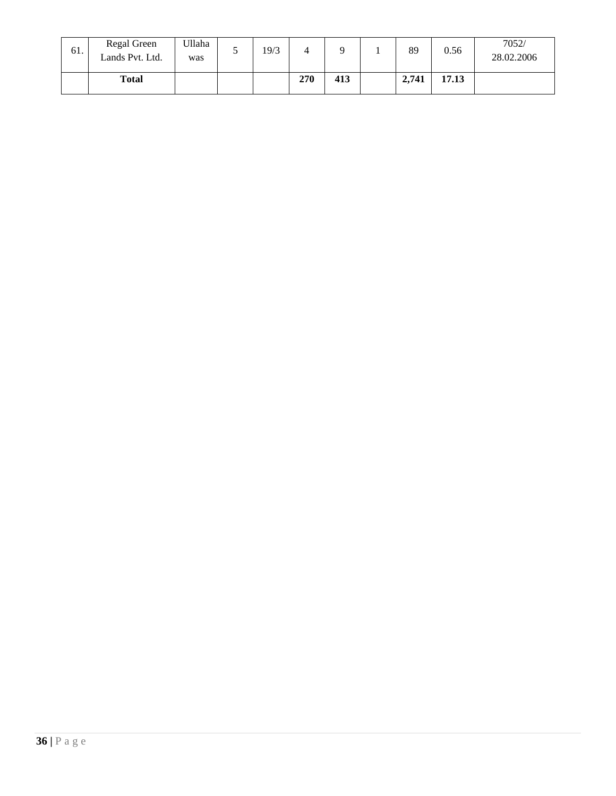| 61. | Regal Green<br>Lands Pvt. Ltd. | Ullaha<br>was | 19/3 |     |     | 89    | 0.56  | 7052/<br>28.02.2006 |
|-----|--------------------------------|---------------|------|-----|-----|-------|-------|---------------------|
|     | <b>Total</b>                   |               |      | 270 | 413 | 2,741 | 17.13 |                     |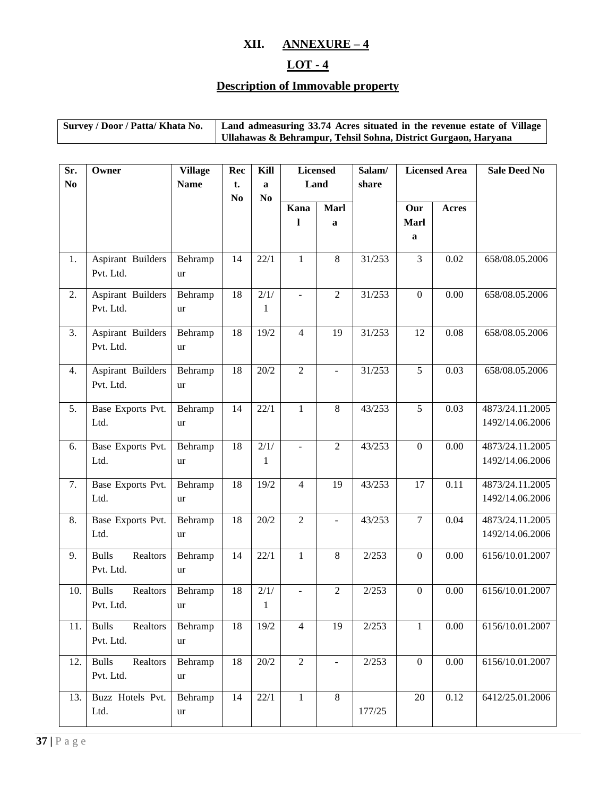### **XII. ANNEXURE – 4**

# **LOT - 4**

# **Description of Immovable property**

| Survey / Door / Patta/ Khata No. | Land admeasuring 33.74 Acres situated in the revenue estate of Village |
|----------------------------------|------------------------------------------------------------------------|
|                                  | Ullahawas & Behrampur, Tehsil Sohna, District Gurgaon, Haryana         |

| Sr.            | Owner                                 | <b>Village</b>       | Rec                  | Kill                 |                          | <b>Licensed</b> | Salam/ | <b>Licensed Area</b> |              | <b>Sale Deed No</b>                |
|----------------|---------------------------------------|----------------------|----------------------|----------------------|--------------------------|-----------------|--------|----------------------|--------------|------------------------------------|
| N <sub>0</sub> |                                       | <b>Name</b>          | t.<br>N <sub>0</sub> | a<br>N <sub>0</sub>  | Land                     |                 | share  |                      |              |                                    |
|                |                                       |                      |                      |                      | Kana                     | Marl            |        | Our                  | <b>Acres</b> |                                    |
|                |                                       |                      |                      |                      | 1                        | a               |        | <b>Marl</b><br>a     |              |                                    |
|                |                                       |                      |                      |                      |                          |                 |        |                      |              |                                    |
| 1.             | Aspirant Builders<br>Pvt. Ltd.        | Behramp<br><b>ur</b> | 14                   | 22/1                 | $\mathbf{1}$             | $8\,$           | 31/253 | 3                    | 0.02         | 658/08.05.2006                     |
| 2.             | Aspirant Builders<br>Pvt. Ltd.        | Behramp<br>ur        | 18                   | 2/1/<br>$\mathbf{1}$ | $\blacksquare$           | $\overline{2}$  | 31/253 | $\boldsymbol{0}$     | 0.00         | 658/08.05.2006                     |
| 3.             | Aspirant Builders<br>Pvt. Ltd.        | Behramp<br>ur        | 18                   | 19/2                 | $\overline{4}$           | 19              | 31/253 | 12                   | 0.08         | 658/08.05.2006                     |
| 4.             | Aspirant Builders<br>Pvt. Ltd.        | Behramp<br>ur        | 18                   | 20/2                 | $\overline{2}$           | $\overline{a}$  | 31/253 | $\overline{5}$       | 0.03         | 658/08.05.2006                     |
| 5.             | Base Exports Pvt.<br>Ltd.             | Behramp<br>ur        | 14                   | 22/1                 | $\mathbbm{1}$            | $8\,$           | 43/253 | 5                    | 0.03         | 4873/24.11.2005<br>1492/14.06.2006 |
| 6.             | Base Exports Pvt.<br>Ltd.             | Behramp<br>ur        | 18                   | 2/1/<br>$\mathbf{1}$ | $\overline{\phantom{a}}$ | 2               | 43/253 | $\boldsymbol{0}$     | 0.00         | 4873/24.11.2005<br>1492/14.06.2006 |
| 7.             | Base Exports Pvt.<br>Ltd.             | Behramp<br>ur        | 18                   | 19/2                 | $\overline{4}$           | 19              | 43/253 | 17                   | 0.11         | 4873/24.11.2005<br>1492/14.06.2006 |
| 8.             | Base Exports Pvt.<br>Ltd.             | Behramp<br>ur        | 18                   | 20/2                 | $\overline{2}$           | $\overline{a}$  | 43/253 | $\overline{7}$       | 0.04         | 4873/24.11.2005<br>1492/14.06.2006 |
| 9.             | <b>Bulls</b><br>Realtors<br>Pvt. Ltd. | Behramp<br>ur        | 14                   | 22/1                 | $\mathbf{1}$             | $8\,$           | 2/253  | $\boldsymbol{0}$     | 0.00         | 6156/10.01.2007                    |
| 10.            | <b>Bulls</b><br>Realtors<br>Pvt. Ltd. | Behramp<br>ur        | 18                   | 2/1/<br>$\mathbf{1}$ | $\blacksquare$           | $\sqrt{2}$      | 2/253  | $\boldsymbol{0}$     | 0.00         | 6156/10.01.2007                    |
| 11.            | Realtors<br><b>Bulls</b><br>Pvt. Ltd. | Behramp<br>ur        | 18                   | 19/2                 | $\overline{4}$           | 19              | 2/253  | $\mathbf{1}$         | 0.00         | 6156/10.01.2007                    |
| 12.            | Realtors<br><b>Bulls</b><br>Pvt. Ltd. | Behramp<br>ur        | 18                   | 20/2                 | $\overline{2}$           | $\blacksquare$  | 2/253  | $\boldsymbol{0}$     | $0.00\,$     | 6156/10.01.2007                    |
| 13.            | Buzz Hotels Pvt.<br>Ltd.              | Behramp<br>ur        | 14                   | 22/1                 | $\mathbf{1}$             | $8\,$           | 177/25 | 20                   | 0.12         | 6412/25.01.2006                    |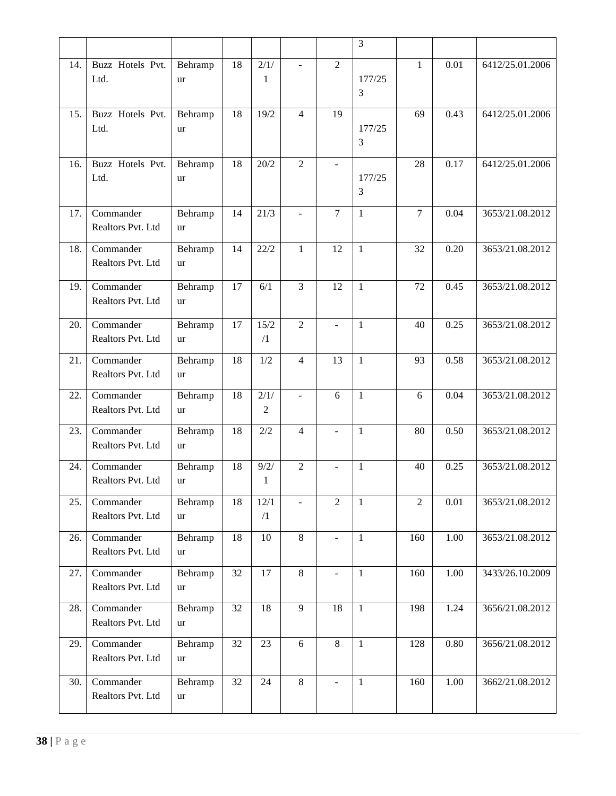|     |                                |                      |                 |                        |                          |                | 3              |                |          |                 |
|-----|--------------------------------|----------------------|-----------------|------------------------|--------------------------|----------------|----------------|----------------|----------|-----------------|
| 14. | Buzz Hotels Pvt.<br>Ltd.       | Behramp<br>ur        | 18              | $\frac{2}{1}$<br>1     | $\overline{\phantom{a}}$ | $\overline{2}$ | 177/25<br>3    | $\mathbf{1}$   | 0.01     | 6412/25.01.2006 |
| 15. | Buzz Hotels Pvt.<br>Ltd.       | Behramp<br>ur        | 18              | 19/2                   | $\overline{4}$           | 19             | 177/25<br>3    | 69             | 0.43     | 6412/25.01.2006 |
| 16. | Buzz Hotels Pvt.<br>Ltd.       | Behramp<br>ur        | 18              | 20/2                   | $\overline{2}$           | $\blacksquare$ | 177/25<br>3    | 28             | 0.17     | 6412/25.01.2006 |
| 17. | Commander<br>Realtors Pvt. Ltd | Behramp<br><b>ur</b> | 14              | 21/3                   | $\overline{\phantom{a}}$ | 7              | $\mathbf{1}$   | $\tau$         | 0.04     | 3653/21.08.2012 |
| 18. | Commander<br>Realtors Pvt. Ltd | Behramp<br>ur        | 14              | 22/2                   | $\mathbf{1}$             | 12             | $\mathbf{1}$   | 32             | 0.20     | 3653/21.08.2012 |
| 19. | Commander<br>Realtors Pvt. Ltd | Behramp<br>ur        | 17              | 6/1                    | $\overline{3}$           | 12             | $\mathbf{1}$   | 72             | 0.45     | 3653/21.08.2012 |
| 20. | Commander<br>Realtors Pvt. Ltd | Behramp<br>ur        | 17              | 15/2<br>$\sqrt{1}$     | $\overline{2}$           |                | $\mathbf{1}$   | 40             | 0.25     | 3653/21.08.2012 |
| 21. | Commander<br>Realtors Pvt. Ltd | Behramp<br>ur        | 18              | 1/2                    | $\overline{4}$           | 13             | $\mathbf{1}$   | 93             | 0.58     | 3653/21.08.2012 |
| 22. | Commander<br>Realtors Pvt. Ltd | Behramp<br><b>ur</b> | 18              | 2/1/<br>$\overline{2}$ | $\overline{\phantom{a}}$ | 6              | $\mathbf{1}$   | 6              | 0.04     | 3653/21.08.2012 |
| 23. | Commander<br>Realtors Pvt. Ltd | Behramp<br>ur        | 18              | 2/2                    | 4                        | $\blacksquare$ | $\mathbf{1}$   | 80             | 0.50     | 3653/21.08.2012 |
| 24. | Commander<br>Realtors Pvt. Ltd | Behramp<br>ur        | 18              | 9/2/<br>1              | $\overline{2}$           |                | $\mathbf{1}$   | 40             | 0.25     | 3653/21.08.2012 |
| 25. | Commander<br>Realtors Pvt. Ltd | Behramp<br>ur        | 18              | 12/1<br>$\sqrt{1}$     |                          | $\overline{2}$ | 1              | $\overline{2}$ | $0.01\,$ | 3653/21.08.2012 |
| 26. | Commander<br>Realtors Pvt. Ltd | Behramp<br><b>ur</b> | 18              | 10                     | 8                        |                | $\mathbf{1}$   | 160            | 1.00     | 3653/21.08.2012 |
| 27. | Commander<br>Realtors Pvt. Ltd | Behramp<br>ur        | 32              | $\overline{17}$        | 8                        |                | $\mathbf{1}$   | 160            | 1.00     | 3433/26.10.2009 |
| 28. | Commander<br>Realtors Pvt. Ltd | Behramp<br>ur        | $\overline{32}$ | 18                     | 9                        | 18             | $\overline{1}$ | 198            | 1.24     | 3656/21.08.2012 |
| 29. | Commander<br>Realtors Pvt. Ltd | Behramp<br>ur        | 32              | 23                     | $6\,$                    | $\overline{8}$ | $\mathbf{1}$   | 128            | 0.80     | 3656/21.08.2012 |
| 30. | Commander<br>Realtors Pvt. Ltd | Behramp<br>ur        | 32              | 24                     | 8                        |                | $\mathbf{1}$   | 160            | 1.00     | 3662/21.08.2012 |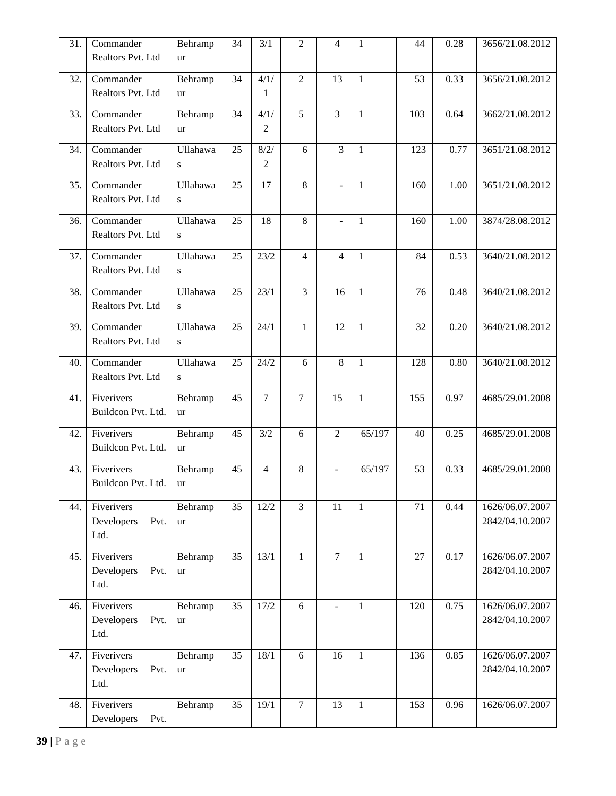| 31. | Commander          | Behramp         | 34 | 3/1               | $\overline{2}$ | $\overline{4}$      | $\mathbf{1}$   | 44  | 0.28 | 3656/21.08.2012 |
|-----|--------------------|-----------------|----|-------------------|----------------|---------------------|----------------|-----|------|-----------------|
|     | Realtors Pvt. Ltd  | ur              |    |                   |                |                     |                |     |      |                 |
| 32. | Commander          | Behramp         | 34 | $\frac{1}{4}$ /1/ | $\overline{2}$ | $\overline{13}$     | $\mathbf{1}$   | 53  | 0.33 | 3656/21.08.2012 |
|     | Realtors Pvt. Ltd  | ur              |    | 1                 |                |                     |                |     |      |                 |
| 33. | Commander          | Behramp         | 34 | 4/1/              | $\overline{5}$ | $\overline{3}$      | $\mathbf{1}$   | 103 | 0.64 | 3662/21.08.2012 |
|     | Realtors Pvt. Ltd  | ur              |    | 2                 |                |                     |                |     |      |                 |
| 34. | Commander          | Ullahawa        | 25 | 8/2/              | 6              | $\overline{3}$      | $\mathbf{1}$   | 123 | 0.77 | 3651/21.08.2012 |
|     | Realtors Pvt. Ltd  | ${\bf S}$       |    | 2                 |                |                     |                |     |      |                 |
| 35. | Commander          | Ullahawa        | 25 | 17                | 8              | ÷,                  | $\mathbf{1}$   | 160 | 1.00 | 3651/21.08.2012 |
|     | Realtors Pvt. Ltd  | ${\bf S}$       |    |                   |                |                     |                |     |      |                 |
| 36. | Commander          | Ullahawa        | 25 | 18                | 8              | $\bar{\phantom{a}}$ | $\mathbf{1}$   | 160 | 1.00 | 3874/28.08.2012 |
|     | Realtors Pvt. Ltd  | ${\bf S}$       |    |                   |                |                     |                |     |      |                 |
| 37. | Commander          | Ullahawa        | 25 | 23/2              | $\overline{4}$ | $\overline{4}$      | $\mathbf{1}$   | 84  | 0.53 | 3640/21.08.2012 |
|     | Realtors Pvt. Ltd  | ${\bf S}$       |    |                   |                |                     |                |     |      |                 |
| 38. | Commander          | <b>Ullahawa</b> | 25 | 23/1              | 3              | 16                  | $\mathbf{1}$   | 76  | 0.48 | 3640/21.08.2012 |
|     | Realtors Pvt. Ltd  | S               |    |                   |                |                     |                |     |      |                 |
| 39. | Commander          | Ullahawa        | 25 | 24/1              | 1              | 12                  | $\mathbf{1}$   | 32  | 0.20 | 3640/21.08.2012 |
|     | Realtors Pvt. Ltd  | S               |    |                   |                |                     |                |     |      |                 |
| 40. | Commander          | Ullahawa        | 25 | 24/2              | 6              | 8                   | $\mathbf{1}$   | 128 | 0.80 | 3640/21.08.2012 |
|     | Realtors Pvt. Ltd  | ${\bf S}$       |    |                   |                |                     |                |     |      |                 |
| 41. | Fiverivers         | Behramp         | 45 | $\overline{7}$    | $\overline{7}$ | 15                  | $\mathbf{1}$   | 155 | 0.97 | 4685/29.01.2008 |
|     | Buildcon Pvt. Ltd. | ur              |    |                   |                |                     |                |     |      |                 |
| 42. | Fiverivers         | Behramp         | 45 | 3/2               | 6              | $\overline{2}$      | 65/197         | 40  | 0.25 | 4685/29.01.2008 |
|     | Buildcon Pvt. Ltd. | ur              |    |                   |                |                     |                |     |      |                 |
| 43. | Fiverivers         | Behramp         | 45 | $\overline{4}$    | 8              | $\blacksquare$      | 65/197         | 53  | 0.33 | 4685/29.01.2008 |
|     | Buildcon Pvt. Ltd. | ur              |    |                   |                |                     |                |     |      |                 |
| 44. | Fiverivers         | Behramp         | 35 | 12/2              | $\overline{3}$ | 11                  | $\overline{1}$ | 71  | 0.44 | 1626/06.07.2007 |
|     | Developers<br>Pvt. | ur              |    |                   |                |                     |                |     |      | 2842/04.10.2007 |
|     | Ltd.               |                 |    |                   |                |                     |                |     |      |                 |
| 45. | Fiverivers         | Behramp         | 35 | 13/1              | $\mathbf{1}$   | $\overline{7}$      | $\mathbf{1}$   | 27  | 0.17 | 1626/06.07.2007 |
|     | Developers<br>Pvt. | ur              |    |                   |                |                     |                |     |      | 2842/04.10.2007 |
|     | Ltd.               |                 |    |                   |                |                     |                |     |      |                 |
| 46. | Fiverivers         | Behramp         | 35 | 17/2              | 6              | $\overline{a}$      | $\mathbf{1}$   | 120 | 0.75 | 1626/06.07.2007 |
|     | Developers<br>Pvt. | <b>ur</b>       |    |                   |                |                     |                |     |      | 2842/04.10.2007 |
|     | Ltd.               |                 |    |                   |                |                     |                |     |      |                 |
| 47. | Fiverivers         | Behramp         | 35 | 18/1              | 6              | 16                  | $\mathbf{1}$   | 136 | 0.85 | 1626/06.07.2007 |
|     | Developers<br>Pvt. | ur              |    |                   |                |                     |                |     |      | 2842/04.10.2007 |
|     | Ltd.               |                 |    |                   |                |                     |                |     |      |                 |
| 48. | Fiverivers         | Behramp         | 35 | 19/1              | $\overline{7}$ | 13                  | $\mathbf{1}$   | 153 | 0.96 | 1626/06.07.2007 |
|     | Developers<br>Pvt. |                 |    |                   |                |                     |                |     |      |                 |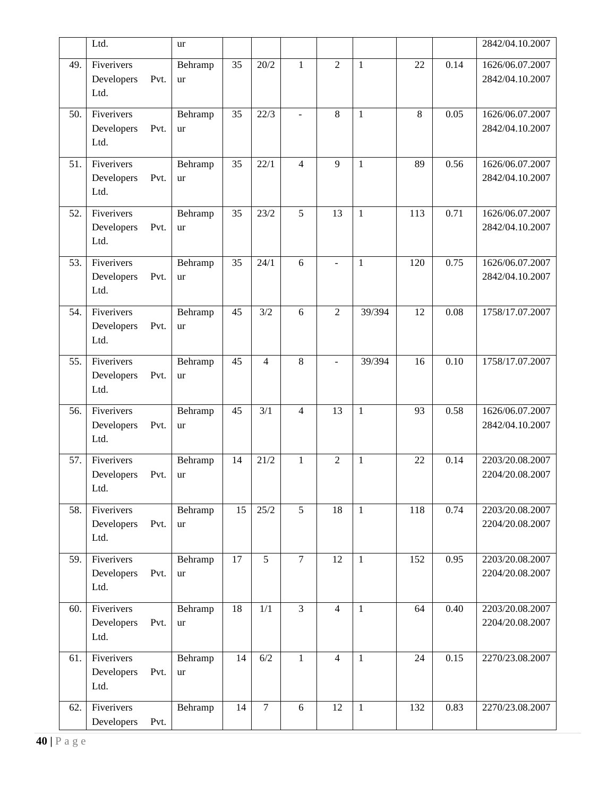|     | Ltd.                                     | ur            |    |                |                |                |              |     |      | 2842/04.10.2007                    |
|-----|------------------------------------------|---------------|----|----------------|----------------|----------------|--------------|-----|------|------------------------------------|
| 49. | Fiverivers<br>Pvt.<br>Developers<br>Ltd. | Behramp<br>ur | 35 | 20/2           | $\mathbf{1}$   | $\overline{2}$ | $\mathbf{1}$ | 22  | 0.14 | 1626/06.07.2007<br>2842/04.10.2007 |
| 50. | Fiverivers<br>Developers<br>Pvt.<br>Ltd. | Behramp<br>ur | 35 | 22/3           |                | 8              | $\mathbf{1}$ | 8   | 0.05 | 1626/06.07.2007<br>2842/04.10.2007 |
| 51. | Fiverivers<br>Developers<br>Pvt.<br>Ltd. | Behramp<br>ur | 35 | 22/1           | $\overline{4}$ | 9              | $\mathbf{1}$ | 89  | 0.56 | 1626/06.07.2007<br>2842/04.10.2007 |
| 52. | Fiverivers<br>Developers<br>Pvt.<br>Ltd. | Behramp<br>ur | 35 | 23/2           | 5              | 13             | $\mathbf{1}$ | 113 | 0.71 | 1626/06.07.2007<br>2842/04.10.2007 |
| 53. | Fiverivers<br>Developers<br>Pvt.<br>Ltd. | Behramp<br>ur | 35 | 24/1           | 6              | $\overline{a}$ | $\mathbf{1}$ | 120 | 0.75 | 1626/06.07.2007<br>2842/04.10.2007 |
| 54. | Fiverivers<br>Developers<br>Pvt.<br>Ltd. | Behramp<br>ur | 45 | 3/2            | 6              | $\overline{2}$ | 39/394       | 12  | 0.08 | 1758/17.07.2007                    |
| 55. | Fiverivers<br>Developers<br>Pvt.<br>Ltd. | Behramp<br>ur | 45 | $\overline{4}$ | 8              |                | 39/394       | 16  | 0.10 | 1758/17.07.2007                    |
| 56. | Fiverivers<br>Developers<br>Pvt.<br>Ltd. | Behramp<br>ur | 45 | 3/1            | $\overline{4}$ | 13             | $\mathbf{1}$ | 93  | 0.58 | 1626/06.07.2007<br>2842/04.10.2007 |
| 57. | Fiverivers<br>Developers<br>Pvt.<br>Ltd. | Behramp<br>ur | 14 | 21/2           | $\mathbf{1}$   | $\mathfrak{2}$ | $\mathbf{1}$ | 22  | 0.14 | 2203/20.08.2007<br>2204/20.08.2007 |
| 58. | Fiverivers<br>Developers<br>Pvt.<br>Ltd. | Behramp<br>ur | 15 | 25/2           | 5              | 18             | $\mathbf{1}$ | 118 | 0.74 | 2203/20.08.2007<br>2204/20.08.2007 |
| 59. | Fiverivers<br>Developers<br>Pvt.<br>Ltd. | Behramp<br>ur | 17 | 5              | $\overline{7}$ | 12             | $\mathbf{1}$ | 152 | 0.95 | 2203/20.08.2007<br>2204/20.08.2007 |
| 60. | Fiverivers<br>Developers<br>Pvt.<br>Ltd. | Behramp<br>ur | 18 | 1/1            | $\overline{3}$ | $\overline{4}$ | $\mathbf{1}$ | 64  | 0.40 | 2203/20.08.2007<br>2204/20.08.2007 |
| 61. | Fiverivers<br>Developers<br>Pvt.<br>Ltd. | Behramp<br>ur | 14 | 6/2            | $\mathbf{1}$   | $\overline{4}$ | $\mathbf{1}$ | 24  | 0.15 | 2270/23.08.2007                    |
| 62. | Fiverivers<br>Developers<br>Pvt.         | Behramp       | 14 | $\tau$         | 6              | 12             | $\mathbf{1}$ | 132 | 0.83 | 2270/23.08.2007                    |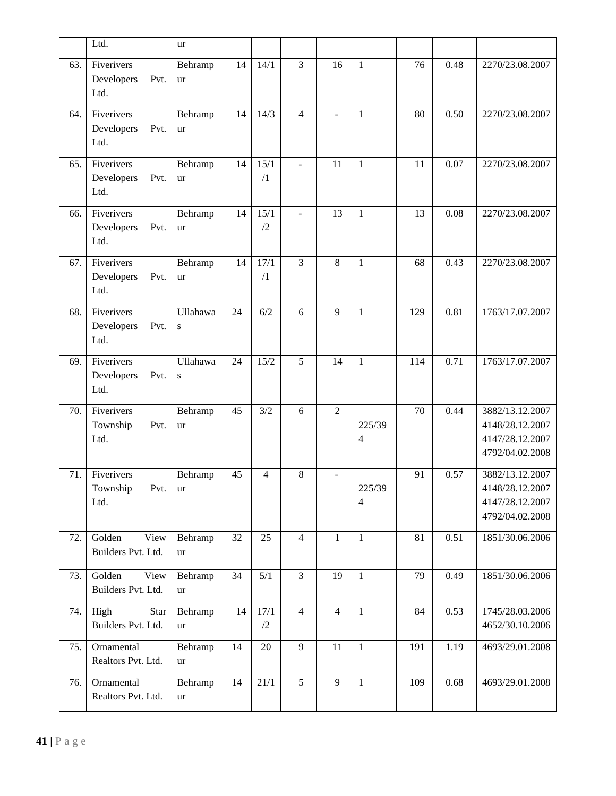|     | Ltd.                                      | ur                    |    |                    |                |                |                          |     |      |                                                                          |
|-----|-------------------------------------------|-----------------------|----|--------------------|----------------|----------------|--------------------------|-----|------|--------------------------------------------------------------------------|
| 63. | Fiverivers<br>Pvt.<br>Developers<br>Ltd.  | Behramp<br>ur         | 14 | 14/1               | $\overline{3}$ | 16             | $\mathbf{1}$             | 76  | 0.48 | 2270/23.08.2007                                                          |
| 64. | Fiverivers<br>Developers<br>Pvt.<br>Ltd.  | Behramp<br>ur         | 14 | 14/3               | $\overline{4}$ |                | $\mathbf{1}$             | 80  | 0.50 | 2270/23.08.2007                                                          |
| 65. | Fiverivers<br>Developers<br>Pvt.<br>Ltd.  | Behramp<br>ur         | 14 | 15/1<br>$\sqrt{1}$ | $\overline{a}$ | 11             | $\mathbf{1}$             | 11  | 0.07 | 2270/23.08.2007                                                          |
| 66. | Fiverivers<br>Developers<br>Pvt.<br>Ltd.  | Behramp<br>ur         | 14 | 15/1<br>/2         | $\overline{a}$ | 13             | $\mathbf{1}$             | 13  | 0.08 | 2270/23.08.2007                                                          |
| 67. | Fiverivers<br>Developers<br>Pvt.<br>Ltd.  | Behramp<br>ur         | 14 | 17/1<br>/1         | $\overline{3}$ | 8              | $\mathbf{1}$             | 68  | 0.43 | 2270/23.08.2007                                                          |
| 68. | Fiverivers<br>Developers<br>Pvt.<br>Ltd.  | Ullahawa<br>${\bf S}$ | 24 | 6/2                | 6              | 9              | $\mathbf{1}$             | 129 | 0.81 | 1763/17.07.2007                                                          |
| 69. | Fiverivers<br>Developers<br>Pvt.<br>Ltd.  | Ullahawa<br>${\bf S}$ | 24 | 15/2               | 5              | 14             | $\mathbf{1}$             | 114 | 0.71 | 1763/17.07.2007                                                          |
| 70. | Fiverivers<br>Township<br>Pvt.<br>Ltd.    | Behramp<br><b>ur</b>  | 45 | 3/2                | 6              | $\overline{2}$ | 225/39<br>4              | 70  | 0.44 | 3882/13.12.2007<br>4148/28.12.2007<br>4147/28.12.2007<br>4792/04.02.2008 |
| 71. | Fiverivers<br>Township<br>Pvt.<br>Ltd.    | Behramp<br>ur         | 45 | 4                  | 8              | $\blacksquare$ | 225/39<br>$\overline{4}$ | 91  | 0.57 | 3882/13.12.2007<br>4148/28.12.2007<br>4147/28.12.2007<br>4792/04.02.2008 |
| 72. | Golden<br>View<br>Builders Pvt. Ltd.      | Behramp<br>ur         | 32 | 25                 | $\overline{4}$ | $\mathbf{1}$   | $\mathbf{1}$             | 81  | 0.51 | 1851/30.06.2006                                                          |
| 73. | Golden<br>View<br>Builders Pvt. Ltd.      | Behramp<br>ur         | 34 | 5/1                | 3              | 19             | $\mathbf{1}$             | 79  | 0.49 | 1851/30.06.2006                                                          |
| 74. | High<br><b>Star</b><br>Builders Pvt. Ltd. | Behramp<br>ur         | 14 | 17/1<br>/2         | $\overline{4}$ | $\overline{4}$ | $\mathbf{1}$             | 84  | 0.53 | 1745/28.03.2006<br>4652/30.10.2006                                       |
| 75. | Ornamental<br>Realtors Pvt. Ltd.          | Behramp<br>ur         | 14 | 20                 | 9              | 11             | $\mathbf{1}$             | 191 | 1.19 | 4693/29.01.2008                                                          |
| 76. | Ornamental<br>Realtors Pvt. Ltd.          | Behramp<br>ur         | 14 | $\overline{21/1}$  | $\overline{5}$ | 9              | $\mathbf{1}$             | 109 | 0.68 | 4693/29.01.2008                                                          |